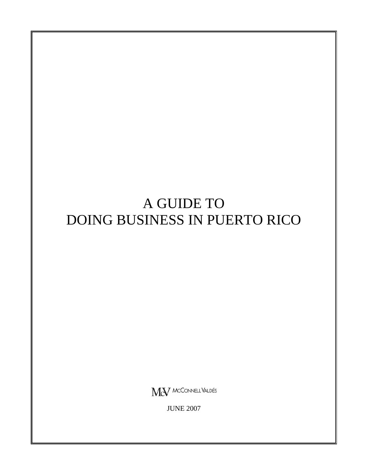# A GUIDE TO DOING BUSINESS IN PUERTO RICO

MeV MCCONNELL VALDÉS

JUNE 2007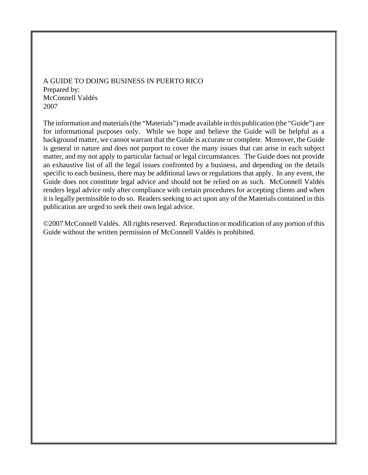A GUIDE TO DOING BUSINESS IN PUERTO RICO Prepared by: McConnell Valdés 2007

The information and materials (the "Materials") made available in this publication (the "Guide") are for informational purposes only. While we hope and believe the Guide will be helpful as a background matter, we cannot warrant that the Guide is accurate or complete. Moreover, the Guide is general in nature and does not purport to cover the many issues that can arise in each subject matter, and my not apply to particular factual or legal circumstances. The Guide does not provide an exhaustive list of all the legal issues confronted by a business, and depending on the details specific to each business, there may be additional laws or regulations that apply. In any event, the Guide does not constitute legal advice and should not be relied on as such. McConnell Valdés renders legal advice only after compliance with certain procedures for accepting clients and when it is legally permissible to do so. Readers seeking to act upon any of the Materials contained in this publication are urged to seek their own legal advice.

©2007 McConnell Valdés. All rights reserved. Reproduction or modification of any portion of this Guide without the written permission of McConnell Valdés is prohibited.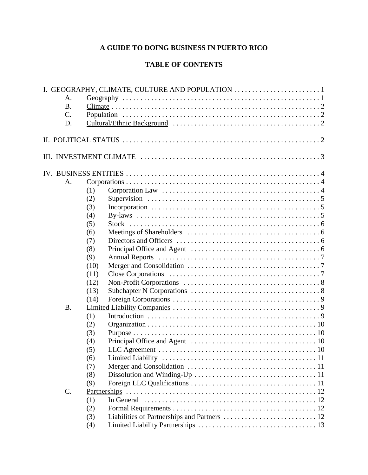# **A GUIDE TO DOING BUSINESS IN PUERTO RICO**

# **TABLE OF CONTENTS**

|           |      | I. GEOGRAPHY, CLIMATE, CULTURE AND POPULATION |
|-----------|------|-----------------------------------------------|
| A.        |      |                                               |
| <b>B.</b> |      |                                               |
| $C$ .     |      |                                               |
| D.        |      |                                               |
|           |      |                                               |
|           |      |                                               |
|           |      |                                               |
|           |      |                                               |
| A.        |      |                                               |
|           | (1)  |                                               |
|           | (2)  |                                               |
|           | (3)  |                                               |
|           | (4)  |                                               |
|           | (5)  |                                               |
|           | (6)  |                                               |
|           | (7)  |                                               |
|           | (8)  |                                               |
|           | (9)  |                                               |
|           | (10) |                                               |
|           | (11) |                                               |
|           | (12) |                                               |
|           | (13) |                                               |
|           | (14) |                                               |
| <b>B.</b> |      |                                               |
|           | (1)  |                                               |
|           | (2)  |                                               |
|           | (3)  |                                               |
|           | (4)  |                                               |
|           | (5)  |                                               |
|           | (6)  |                                               |
|           | (7)  |                                               |
|           | (8)  |                                               |
|           | (9)  |                                               |
| C.        |      |                                               |
|           | (1)  |                                               |
|           | (2)  |                                               |
|           | (3)  |                                               |
|           | (4)  |                                               |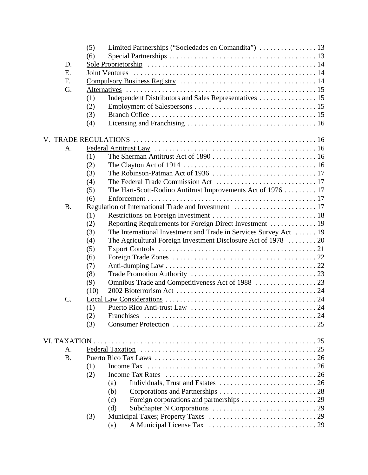|                 | Limited Partnerships ("Sociedades en Comandita")  13<br>(5)              |  |  |
|-----------------|--------------------------------------------------------------------------|--|--|
|                 | (6)                                                                      |  |  |
| D.              |                                                                          |  |  |
| E.              |                                                                          |  |  |
| F.              |                                                                          |  |  |
| G.              |                                                                          |  |  |
|                 | Independent Distributors and Sales Representatives  15<br>(1)            |  |  |
|                 | (2)                                                                      |  |  |
|                 | (3)                                                                      |  |  |
|                 | (4)                                                                      |  |  |
|                 |                                                                          |  |  |
| A.              |                                                                          |  |  |
|                 | (1)                                                                      |  |  |
|                 | (2)                                                                      |  |  |
|                 | (3)                                                                      |  |  |
|                 | (4)                                                                      |  |  |
|                 | The Hart-Scott-Rodino Antitrust Improvements Act of 1976  17<br>(5)      |  |  |
|                 | (6)                                                                      |  |  |
| <b>B.</b>       |                                                                          |  |  |
|                 | (1)                                                                      |  |  |
|                 | Reporting Requirements for Foreign Direct Investment  19<br>(2)          |  |  |
|                 | The International Investment and Trade in Services Survey Act  19<br>(3) |  |  |
|                 | The Agricultural Foreign Investment Disclosure Act of 1978  20<br>(4)    |  |  |
|                 | (5)                                                                      |  |  |
|                 | (6)                                                                      |  |  |
|                 | (7)                                                                      |  |  |
|                 | (8)                                                                      |  |  |
|                 | (9)                                                                      |  |  |
|                 | (10)                                                                     |  |  |
| $\mathcal{C}$ . |                                                                          |  |  |
|                 | (1)                                                                      |  |  |
|                 | (2)<br>Franchises                                                        |  |  |
|                 | (3)                                                                      |  |  |
|                 |                                                                          |  |  |
| VI. TAXATION.   |                                                                          |  |  |
| A.              |                                                                          |  |  |
| <b>B.</b>       |                                                                          |  |  |
|                 | (1)                                                                      |  |  |
|                 | <b>Income Tax Rates</b><br>(2)                                           |  |  |
|                 | (a)                                                                      |  |  |
|                 | (b)                                                                      |  |  |
|                 | (c)                                                                      |  |  |
|                 | (d)                                                                      |  |  |
|                 | (3)                                                                      |  |  |
|                 | (a)                                                                      |  |  |
|                 |                                                                          |  |  |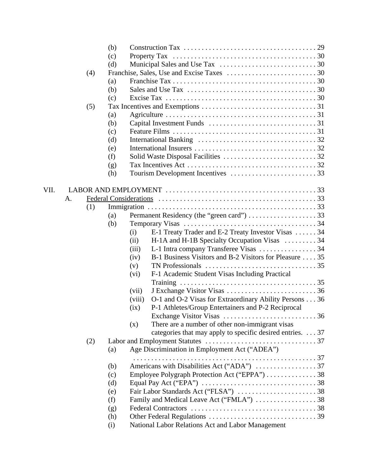|      |    |     | (b) |                                                                                                |  |
|------|----|-----|-----|------------------------------------------------------------------------------------------------|--|
|      |    |     | (c) |                                                                                                |  |
|      |    |     | (d) |                                                                                                |  |
|      |    | (4) |     |                                                                                                |  |
|      |    |     | (a) |                                                                                                |  |
|      |    |     | (b) |                                                                                                |  |
|      |    |     | (c) |                                                                                                |  |
|      |    | (5) |     |                                                                                                |  |
|      |    |     | (a) |                                                                                                |  |
|      |    |     | (b) |                                                                                                |  |
|      |    |     | (c) |                                                                                                |  |
|      |    |     | (d) |                                                                                                |  |
|      |    |     | (e) |                                                                                                |  |
|      |    |     | (f) |                                                                                                |  |
|      |    |     | (g) |                                                                                                |  |
|      |    |     | (h) |                                                                                                |  |
|      |    |     |     |                                                                                                |  |
| VII. |    |     |     |                                                                                                |  |
|      | A. |     |     |                                                                                                |  |
|      |    | (1) |     |                                                                                                |  |
|      |    |     | (a) |                                                                                                |  |
|      |    |     | (b) |                                                                                                |  |
|      |    |     |     | E-1 Treaty Trader and E-2 Treaty Investor Visas  34<br>(i)                                     |  |
|      |    |     |     | H-1A and H-1B Specialty Occupation Visas  34<br>(ii)                                           |  |
|      |    |     |     | (iii)                                                                                          |  |
|      |    |     |     | B-1 Business Visitors and B-2 Visitors for Pleasure 35<br>(iv)                                 |  |
|      |    |     |     | TN Professionals $\dots \dots \dots \dots \dots \dots \dots \dots \dots \dots \dots 35$<br>(v) |  |
|      |    |     |     | F-1 Academic Student Visas Including Practical<br>(vi)                                         |  |
|      |    |     |     |                                                                                                |  |
|      |    |     |     | (vii)                                                                                          |  |
|      |    |     |     | O-1 and O-2 Visas for Extraordinary Ability Persons 36<br>(viii)                               |  |
|      |    |     |     | P-1 Athletes/Group Entertainers and P-2 Reciprocal<br>(ix)                                     |  |
|      |    |     |     |                                                                                                |  |
|      |    |     |     | There are a number of other non-immigrant visas<br>(x)                                         |  |
|      |    |     |     | categories that may apply to specific desired entries. 37                                      |  |
|      |    | (2) |     |                                                                                                |  |
|      |    |     | (a) | Age Discrimination in Employment Act ("ADEA")                                                  |  |
|      |    |     |     |                                                                                                |  |
|      |    |     | (b) |                                                                                                |  |
|      |    |     | (c) | Employee Polygraph Protection Act ("EPPA") 38                                                  |  |
|      |    |     | (d) |                                                                                                |  |
|      |    |     | (e) |                                                                                                |  |
|      |    |     | (f) | Family and Medical Leave Act ("FMLA") 38                                                       |  |
|      |    |     | (g) |                                                                                                |  |
|      |    |     | (h) |                                                                                                |  |
|      |    |     | (i) | National Labor Relations Act and Labor Management                                              |  |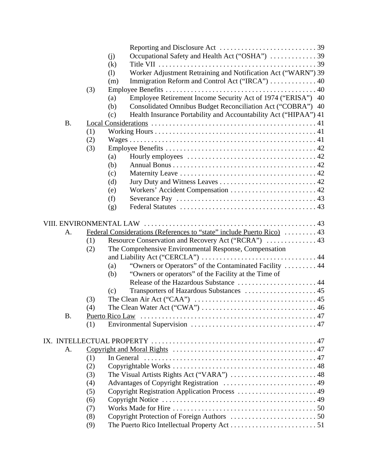|           |     | Occupational Safety and Health Act ("OSHA") 39<br>(j)                   |  |
|-----------|-----|-------------------------------------------------------------------------|--|
|           |     | (k)                                                                     |  |
|           |     | Worker Adjustment Retraining and Notification Act ("WARN") 39<br>(1)    |  |
|           |     | Immigration Reform and Control Act ("IRCA")  40<br>(m)                  |  |
|           | (3) |                                                                         |  |
|           |     | Employee Retirement Income Security Act of 1974 ("ERISA") 40<br>(a)     |  |
|           |     | Consolidated Omnibus Budget Reconciliation Act ("COBRA") 40<br>(b)      |  |
|           |     | Health Insurance Portability and Accountability Act ("HIPAA") 41<br>(c) |  |
| <b>B.</b> |     |                                                                         |  |
|           | (1) |                                                                         |  |
|           | (2) |                                                                         |  |
|           | (3) |                                                                         |  |
|           |     | (a)                                                                     |  |
|           |     | (b)                                                                     |  |
|           |     |                                                                         |  |
|           |     | (c)                                                                     |  |
|           |     | (d)                                                                     |  |
|           |     | (e)                                                                     |  |
|           |     | (f)                                                                     |  |
|           |     | (g)                                                                     |  |
|           |     |                                                                         |  |
|           |     |                                                                         |  |
| A.        |     | Federal Considerations (References to "state" include Puerto Rico)  43  |  |
|           | (1) | Resource Conservation and Recovery Act ("RCRA")  43                     |  |
|           | (2) | The Comprehensive Environmental Response, Compensation                  |  |
|           |     |                                                                         |  |
|           |     | "Owners or Operators" of the Contaminated Facility  44<br>(a)           |  |
|           |     | "Owners or operators" of the Facility at the Time of<br>(b)             |  |
|           |     | Release of the Hazardous Substance  44                                  |  |
|           |     | (c)                                                                     |  |
|           | (3) |                                                                         |  |
|           | (4) |                                                                         |  |
| <b>B.</b> |     | Puerto Rico Law                                                         |  |
|           | (1) |                                                                         |  |
|           |     |                                                                         |  |
|           |     |                                                                         |  |
| A.        |     |                                                                         |  |
|           | (1) | In General                                                              |  |
|           | (2) |                                                                         |  |
|           | (3) |                                                                         |  |
|           | (4) |                                                                         |  |
|           | (5) | Copyright Registration Application Process  49                          |  |
|           | (6) |                                                                         |  |
|           | (7) |                                                                         |  |
|           | (8) |                                                                         |  |
|           | (9) |                                                                         |  |
|           |     |                                                                         |  |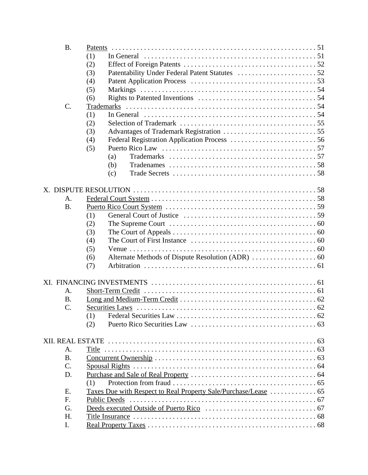| <b>B.</b>       |                                                                 |  |
|-----------------|-----------------------------------------------------------------|--|
|                 | (1)                                                             |  |
|                 | (2)                                                             |  |
|                 | (3)                                                             |  |
|                 | (4)                                                             |  |
|                 | (5)                                                             |  |
|                 | (6)                                                             |  |
| C.              |                                                                 |  |
|                 | (1)                                                             |  |
|                 | (2)                                                             |  |
|                 | (3)                                                             |  |
|                 | (4)                                                             |  |
|                 | (5)                                                             |  |
|                 | (a)                                                             |  |
|                 | (b)                                                             |  |
|                 | (c)                                                             |  |
|                 |                                                                 |  |
|                 |                                                                 |  |
| A.              |                                                                 |  |
| <b>B.</b>       |                                                                 |  |
|                 | (1)                                                             |  |
|                 | (2)                                                             |  |
|                 | (3)                                                             |  |
|                 | (4)                                                             |  |
|                 |                                                                 |  |
|                 | (5)                                                             |  |
|                 | (6)<br>(7)                                                      |  |
|                 |                                                                 |  |
|                 |                                                                 |  |
| A.              |                                                                 |  |
| <b>B.</b>       |                                                                 |  |
| $\mathcal{C}$ . |                                                                 |  |
|                 | (1)                                                             |  |
|                 | (2)                                                             |  |
|                 |                                                                 |  |
|                 |                                                                 |  |
|                 |                                                                 |  |
| А.              |                                                                 |  |
| <b>B.</b>       |                                                                 |  |
| $\mathcal{C}$ . |                                                                 |  |
| D.              |                                                                 |  |
|                 | (1)                                                             |  |
| Ε.              | Taxes Due with Respect to Real Property Sale/Purchase/Lease  65 |  |
| F.              | <b>Public Deeds</b>                                             |  |
| G.              |                                                                 |  |
| H.              |                                                                 |  |
| I.              |                                                                 |  |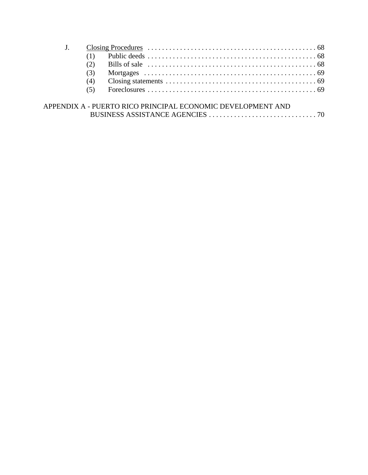| (2) |                                                             |
|-----|-------------------------------------------------------------|
| (3) |                                                             |
| (4) |                                                             |
| (5) |                                                             |
|     | APPENDIX A - PUERTO RICO PRINCIPAL ECONOMIC DEVELOPMENT AND |
|     |                                                             |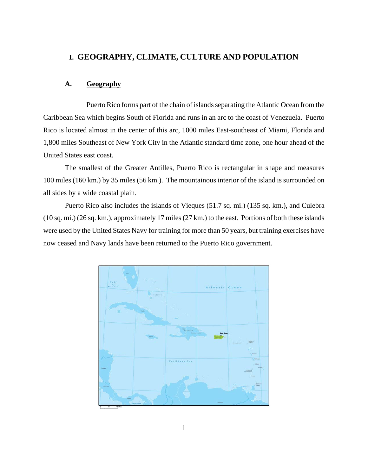# **I. GEOGRAPHY, CLIMATE, CULTURE AND POPULATION**

# **A. Geography**

Puerto Rico forms part of the chain of islands separating the Atlantic Ocean from the Caribbean Sea which begins South of Florida and runs in an arc to the coast of Venezuela. Puerto Rico is located almost in the center of this arc, 1000 miles East-southeast of Miami, Florida and 1,800 miles Southeast of New York City in the Atlantic standard time zone, one hour ahead of the United States east coast.

The smallest of the Greater Antilles, Puerto Rico is rectangular in shape and measures 100 miles (160 km.) by 35 miles (56 km.). The mountainous interior of the island is surrounded on all sides by a wide coastal plain.

Puerto Rico also includes the islands of Vieques (51.7 sq. mi.) (135 sq. km.), and Culebra (10 sq. mi.) (26 sq. km.), approximately 17 miles (27 km.) to the east. Portions of both these islands were used by the United States Navy for training for more than 50 years, but training exercises have now ceased and Navy lands have been returned to the Puerto Rico government.

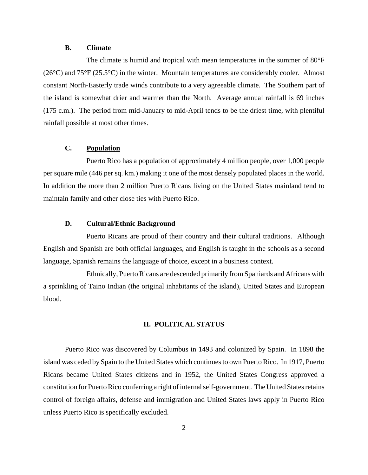#### **B. Climate**

The climate is humid and tropical with mean temperatures in the summer of  $80^{\circ}F$  $(26^{\circ}$ C) and  $75^{\circ}$ F (25.5<sup>o</sup>C) in the winter. Mountain temperatures are considerably cooler. Almost constant North-Easterly trade winds contribute to a very agreeable climate. The Southern part of the island is somewhat drier and warmer than the North. Average annual rainfall is 69 inches (175 c.m.). The period from mid-January to mid-April tends to be the driest time, with plentiful rainfall possible at most other times.

# **C. Population**

Puerto Rico has a population of approximately 4 million people, over 1,000 people per square mile (446 per sq. km.) making it one of the most densely populated places in the world. In addition the more than 2 million Puerto Ricans living on the United States mainland tend to maintain family and other close ties with Puerto Rico.

#### **D. Cultural/Ethnic Background**

Puerto Ricans are proud of their country and their cultural traditions. Although English and Spanish are both official languages, and English is taught in the schools as a second language, Spanish remains the language of choice, except in a business context.

Ethnically, Puerto Ricans are descended primarily from Spaniards and Africans with a sprinkling of Taino Indian (the original inhabitants of the island), United States and European blood.

# **II. POLITICAL STATUS**

Puerto Rico was discovered by Columbus in 1493 and colonized by Spain. In 1898 the island was ceded by Spain to the United States which continues to own Puerto Rico. In 1917, Puerto Ricans became United States citizens and in 1952, the United States Congress approved a constitution for Puerto Rico conferring a right of internal self-government. The United States retains control of foreign affairs, defense and immigration and United States laws apply in Puerto Rico unless Puerto Rico is specifically excluded.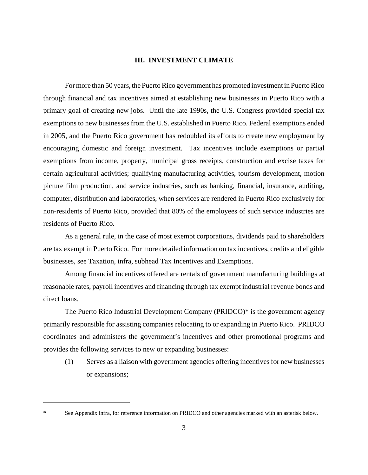#### **III. INVESTMENT CLIMATE**

For more than 50 years, the Puerto Rico government has promoted investment in Puerto Rico through financial and tax incentives aimed at establishing new businesses in Puerto Rico with a primary goal of creating new jobs. Until the late 1990s, the U.S. Congress provided special tax exemptions to new businesses from the U.S. established in Puerto Rico. Federal exemptions ended in 2005, and the Puerto Rico government has redoubled its efforts to create new employment by encouraging domestic and foreign investment. Tax incentives include exemptions or partial exemptions from income, property, municipal gross receipts, construction and excise taxes for certain agricultural activities; qualifying manufacturing activities, tourism development, motion picture film production, and service industries, such as banking, financial, insurance, auditing, computer, distribution and laboratories, when services are rendered in Puerto Rico exclusively for non-residents of Puerto Rico, provided that 80% of the employees of such service industries are residents of Puerto Rico.

As a general rule, in the case of most exempt corporations, dividends paid to shareholders are tax exempt in Puerto Rico. For more detailed information on tax incentives, credits and eligible businesses, see Taxation, infra, subhead Tax Incentives and Exemptions.

Among financial incentives offered are rentals of government manufacturing buildings at reasonable rates, payroll incentives and financing through tax exempt industrial revenue bonds and direct loans.

The Puerto Rico Industrial Development Company (PRIDCO)\* is the government agency primarily responsible for assisting companies relocating to or expanding in Puerto Rico. PRIDCO coordinates and administers the government's incentives and other promotional programs and provides the following services to new or expanding businesses:

(1) Serves as a liaison with government agencies offering incentives for new businesses or expansions;

See Appendix infra, for reference information on PRIDCO and other agencies marked with an asterisk below.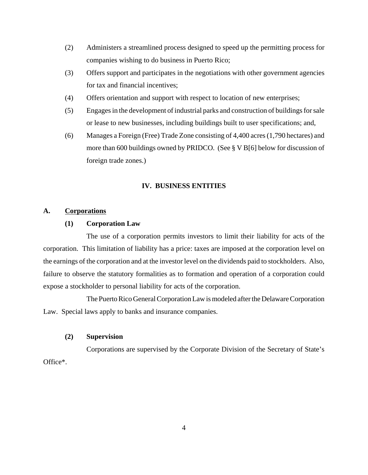- (2) Administers a streamlined process designed to speed up the permitting process for companies wishing to do business in Puerto Rico;
- (3) Offers support and participates in the negotiations with other government agencies for tax and financial incentives;
- (4) Offers orientation and support with respect to location of new enterprises;
- (5) Engages in the development of industrial parks and construction of buildings for sale or lease to new businesses, including buildings built to user specifications; and,
- (6) Manages a Foreign (Free) Trade Zone consisting of 4,400 acres (1,790 hectares) and more than 600 buildings owned by PRIDCO. (See § V B[6] below for discussion of foreign trade zones.)

# **IV. BUSINESS ENTITIES**

# **A. Corporations**

#### **(1) Corporation Law**

The use of a corporation permits investors to limit their liability for acts of the corporation. This limitation of liability has a price: taxes are imposed at the corporation level on the earnings of the corporation and at the investor level on the dividends paid to stockholders. Also, failure to observe the statutory formalities as to formation and operation of a corporation could expose a stockholder to personal liability for acts of the corporation.

The Puerto Rico General Corporation Law is modeled after the Delaware Corporation Law. Special laws apply to banks and insurance companies.

# **(2) Supervision**

Corporations are supervised by the Corporate Division of the Secretary of State's Office\*.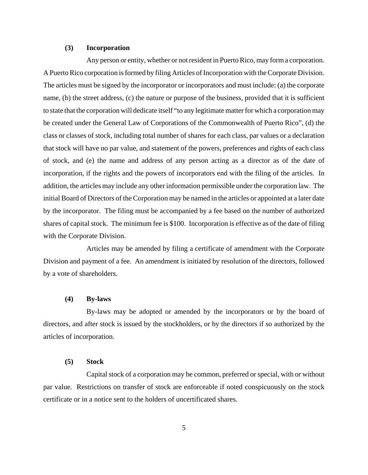#### **(3) Incorporation**

Any person or entity, whether or not resident in Puerto Rico, may form a corporation. A Puerto Rico corporation is formed by filing Articles of Incorporation with the Corporate Division. The articles must be signed by the incorporator or incorporators and must include: (a) the corporate name, (b) the street address, (c) the nature or purpose of the business, provided that it is sufficient to state that the corporation will dedicate itself "to any legitimate matter for which a corporation may be created under the General Law of Corporations of the Commonwealth of Puerto Rico", (d) the class or classes of stock, including total number of shares for each class, par values or a declaration that stock will have no par value, and statement of the powers, preferences and rights of each class of stock, and (e) the name and address of any person acting as a director as of the date of incorporation, if the rights and the powers of incorporators end with the filing of the articles. In addition, the articles may include any other information permissible under the corporation law. The initial Board of Directors of the Corporation may be named in the articles or appointed at a later date by the incorporator. The filing must be accompanied by a fee based on the number of authorized shares of capital stock. The minimum fee is \$100. Incorporation is effective as of the date of filing with the Corporate Division.

Articles may be amended by filing a certificate of amendment with the Corporate Division and payment of a fee. An amendment is initiated by resolution of the directors, followed by a vote of shareholders.

#### **(4) By-laws**

By-laws may be adopted or amended by the incorporators or by the board of directors, and after stock is issued by the stockholders, or by the directors if so authorized by the articles of incorporation.

#### **(5) Stock**

Capital stock of a corporation may be common, preferred or special, with or without par value. Restrictions on transfer of stock are enforceable if noted conspicuously on the stock certificate or in a notice sent to the holders of uncertificated shares.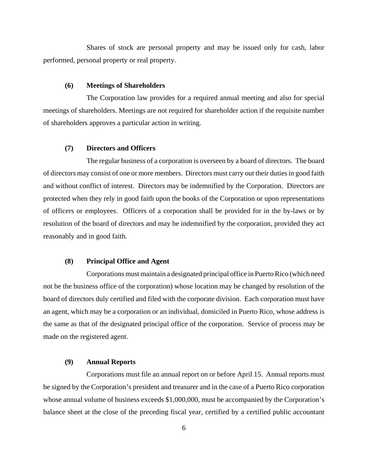Shares of stock are personal property and may be issued only for cash, labor performed, personal property or real property.

#### **(6) Meetings of Shareholders**

The Corporation law provides for a required annual meeting and also for special meetings of shareholders. Meetings are not required for shareholder action if the requisite number of shareholders approves a particular action in writing.

# **(7) Directors and Officers**

The regular business of a corporation is overseen by a board of directors. The board of directors may consist of one or more members. Directors must carry out their duties in good faith and without conflict of interest. Directors may be indemnified by the Corporation. Directors are protected when they rely in good faith upon the books of the Corporation or upon representations of officers or employees. Officers of a corporation shall be provided for in the by-laws or by resolution of the board of directors and may be indemnified by the corporation, provided they act reasonably and in good faith.

# **(8) Principal Office and Agent**

Corporations must maintain a designated principal office in Puerto Rico (which need not be the business office of the corporation) whose location may be changed by resolution of the board of directors duly certified and filed with the corporate division. Each corporation must have an agent, which may be a corporation or an individual, domiciled in Puerto Rico, whose address is the same as that of the designated principal office of the corporation. Service of process may be made on the registered agent.

#### **(9) Annual Reports**

Corporations must file an annual report on or before April 15. Annual reports must be signed by the Corporation's president and treasurer and in the case of a Puerto Rico corporation whose annual volume of business exceeds \$1,000,000, must be accompanied by the Corporation's balance sheet at the close of the preceding fiscal year, certified by a certified public accountant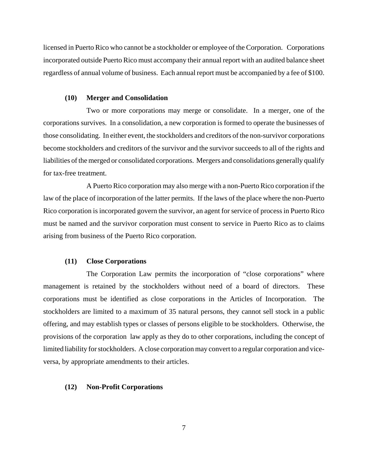licensed in Puerto Rico who cannot be a stockholder or employee of the Corporation. Corporations incorporated outside Puerto Rico must accompany their annual report with an audited balance sheet regardless of annual volume of business. Each annual report must be accompanied by a fee of \$100.

#### **(10) Merger and Consolidation**

Two or more corporations may merge or consolidate. In a merger, one of the corporations survives. In a consolidation, a new corporation is formed to operate the businesses of those consolidating. In either event, the stockholders and creditors of the non-survivor corporations become stockholders and creditors of the survivor and the survivor succeeds to all of the rights and liabilities of the merged or consolidated corporations. Mergers and consolidations generally qualify for tax-free treatment.

A Puerto Rico corporation may also merge with a non-Puerto Rico corporation if the law of the place of incorporation of the latter permits. If the laws of the place where the non-Puerto Rico corporation is incorporated govern the survivor, an agent for service of process in Puerto Rico must be named and the survivor corporation must consent to service in Puerto Rico as to claims arising from business of the Puerto Rico corporation.

#### **(11) Close Corporations**

The Corporation Law permits the incorporation of "close corporations" where management is retained by the stockholders without need of a board of directors. These corporations must be identified as close corporations in the Articles of Incorporation. The stockholders are limited to a maximum of 35 natural persons, they cannot sell stock in a public offering, and may establish types or classes of persons eligible to be stockholders. Otherwise, the provisions of the corporation law apply as they do to other corporations, including the concept of limited liability for stockholders. A close corporation may convert to a regular corporation and viceversa, by appropriate amendments to their articles.

### **(12) Non-Profit Corporations**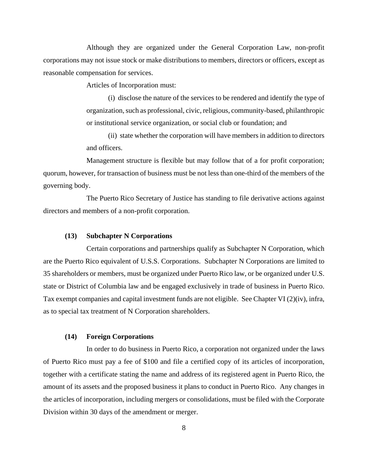Although they are organized under the General Corporation Law, non-profit corporations may not issue stock or make distributions to members, directors or officers, except as reasonable compensation for services.

Articles of Incorporation must:

(i) disclose the nature of the services to be rendered and identify the type of organization, such as professional, civic, religious, community-based, philanthropic or institutional service organization, or social club or foundation; and

(ii) state whether the corporation will have members in addition to directors and officers.

Management structure is flexible but may follow that of a for profit corporation; quorum, however, for transaction of business must be not less than one-third of the members of the governing body.

The Puerto Rico Secretary of Justice has standing to file derivative actions against directors and members of a non-profit corporation.

#### **(13) Subchapter N Corporations**

Certain corporations and partnerships qualify as Subchapter N Corporation, which are the Puerto Rico equivalent of U.S.S. Corporations. Subchapter N Corporations are limited to 35 shareholders or members, must be organized under Puerto Rico law, or be organized under U.S. state or District of Columbia law and be engaged exclusively in trade of business in Puerto Rico. Tax exempt companies and capital investment funds are not eligible. See Chapter VI (2)(iv), infra, as to special tax treatment of N Corporation shareholders.

#### **(14) Foreign Corporations**

In order to do business in Puerto Rico, a corporation not organized under the laws of Puerto Rico must pay a fee of \$100 and file a certified copy of its articles of incorporation, together with a certificate stating the name and address of its registered agent in Puerto Rico, the amount of its assets and the proposed business it plans to conduct in Puerto Rico. Any changes in the articles of incorporation, including mergers or consolidations, must be filed with the Corporate Division within 30 days of the amendment or merger.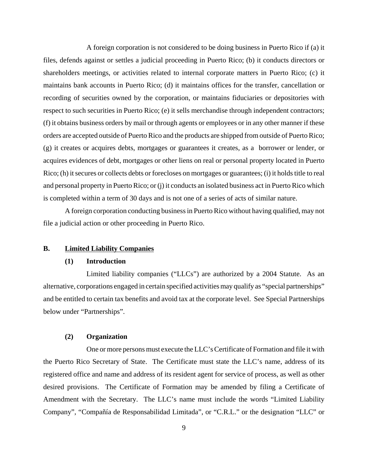A foreign corporation is not considered to be doing business in Puerto Rico if (a) it files, defends against or settles a judicial proceeding in Puerto Rico; (b) it conducts directors or shareholders meetings, or activities related to internal corporate matters in Puerto Rico; (c) it maintains bank accounts in Puerto Rico; (d) it maintains offices for the transfer, cancellation or recording of securities owned by the corporation, or maintains fiduciaries or depositories with respect to such securities in Puerto Rico; (e) it sells merchandise through independent contractors; (f) it obtains business orders by mail or through agents or employees or in any other manner if these orders are accepted outside of Puerto Rico and the products are shipped from outside of Puerto Rico; (g) it creates or acquires debts, mortgages or guarantees it creates, as a borrower or lender, or acquires evidences of debt, mortgages or other liens on real or personal property located in Puerto Rico; (h) it secures or collects debts or forecloses on mortgages or guarantees; (i) it holds title to real and personal property in Puerto Rico; or (j) it conducts an isolated business act in Puerto Rico which is completed within a term of 30 days and is not one of a series of acts of similar nature.

A foreign corporation conducting business in Puerto Rico without having qualified, may not file a judicial action or other proceeding in Puerto Rico.

# **B. Limited Liability Companies**

## **(1) Introduction**

Limited liability companies ("LLCs") are authorized by a 2004 Statute. As an alternative, corporations engaged in certain specified activities may qualify as "special partnerships" and be entitled to certain tax benefits and avoid tax at the corporate level. See Special Partnerships below under "Partnerships".

#### **(2) Organization**

One or more persons must execute the LLC's Certificate of Formation and file it with the Puerto Rico Secretary of State. The Certificate must state the LLC's name, address of its registered office and name and address of its resident agent for service of process, as well as other desired provisions. The Certificate of Formation may be amended by filing a Certificate of Amendment with the Secretary. The LLC's name must include the words "Limited Liability Company", "Compañía de Responsabilidad Limitada", or "C.R.L." or the designation "LLC" or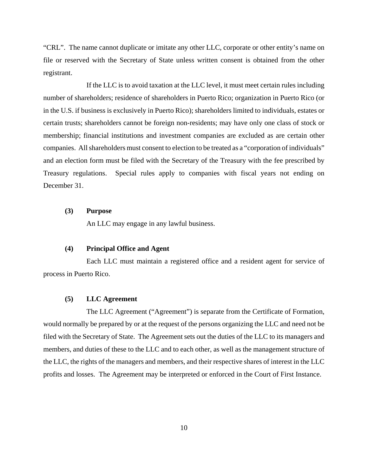"CRL". The name cannot duplicate or imitate any other LLC, corporate or other entity's name on file or reserved with the Secretary of State unless written consent is obtained from the other registrant.

If the LLC is to avoid taxation at the LLC level, it must meet certain rules including number of shareholders; residence of shareholders in Puerto Rico; organization in Puerto Rico (or in the U.S. if business is exclusively in Puerto Rico); shareholders limited to individuals, estates or certain trusts; shareholders cannot be foreign non-residents; may have only one class of stock or membership; financial institutions and investment companies are excluded as are certain other companies. All shareholders must consent to election to be treated as a "corporation of individuals" and an election form must be filed with the Secretary of the Treasury with the fee prescribed by Treasury regulations. Special rules apply to companies with fiscal years not ending on December 31.

# **(3) Purpose**

An LLC may engage in any lawful business.

# **(4) Principal Office and Agent**

Each LLC must maintain a registered office and a resident agent for service of process in Puerto Rico.

#### **(5) LLC Agreement**

The LLC Agreement ("Agreement") is separate from the Certificate of Formation, would normally be prepared by or at the request of the persons organizing the LLC and need not be filed with the Secretary of State. The Agreement sets out the duties of the LLC to its managers and members, and duties of these to the LLC and to each other, as well as the management structure of the LLC, the rights of the managers and members, and their respective shares of interest in the LLC profits and losses. The Agreement may be interpreted or enforced in the Court of First Instance.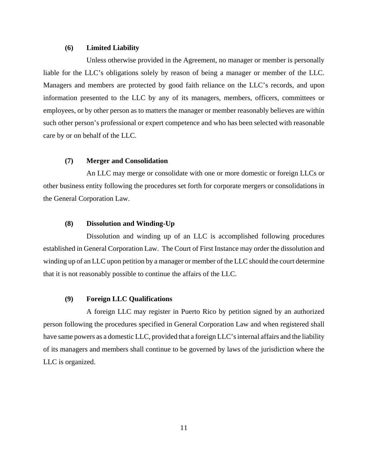#### **(6) Limited Liability**

Unless otherwise provided in the Agreement, no manager or member is personally liable for the LLC's obligations solely by reason of being a manager or member of the LLC. Managers and members are protected by good faith reliance on the LLC's records, and upon information presented to the LLC by any of its managers, members, officers, committees or employees, or by other person as to matters the manager or member reasonably believes are within such other person's professional or expert competence and who has been selected with reasonable care by or on behalf of the LLC.

## **(7) Merger and Consolidation**

An LLC may merge or consolidate with one or more domestic or foreign LLCs or other business entity following the procedures set forth for corporate mergers or consolidations in the General Corporation Law.

#### **(8) Dissolution and Winding-Up**

Dissolution and winding up of an LLC is accomplished following procedures established in General Corporation Law. The Court of First Instance may order the dissolution and winding up of an LLC upon petition by a manager or member of the LLC should the court determine that it is not reasonably possible to continue the affairs of the LLC.

#### **(9) Foreign LLC Qualifications**

A foreign LLC may register in Puerto Rico by petition signed by an authorized person following the procedures specified in General Corporation Law and when registered shall have same powers as a domestic LLC, provided that a foreign LLC's internal affairs and the liability of its managers and members shall continue to be governed by laws of the jurisdiction where the LLC is organized.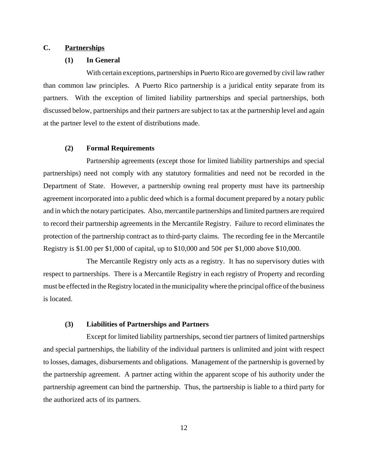# **C. Partnerships**

#### **(1) In General**

With certain exceptions, partnerships in Puerto Rico are governed by civil law rather than common law principles. A Puerto Rico partnership is a juridical entity separate from its partners. With the exception of limited liability partnerships and special partnerships, both discussed below, partnerships and their partners are subject to tax at the partnership level and again at the partner level to the extent of distributions made.

# **(2) Formal Requirements**

Partnership agreements (except those for limited liability partnerships and special partnerships) need not comply with any statutory formalities and need not be recorded in the Department of State. However, a partnership owning real property must have its partnership agreement incorporated into a public deed which is a formal document prepared by a notary public and in which the notary participates. Also, mercantile partnerships and limited partners are required to record their partnership agreements in the Mercantile Registry. Failure to record eliminates the protection of the partnership contract as to third-party claims. The recording fee in the Mercantile Registry is \$1.00 per \$1,000 of capital, up to \$10,000 and 50¢ per \$1,000 above \$10,000.

The Mercantile Registry only acts as a registry. It has no supervisory duties with respect to partnerships. There is a Mercantile Registry in each registry of Property and recording must be effected in the Registry located in the municipality where the principal office of the business is located.

# **(3) Liabilities of Partnerships and Partners**

Except for limited liability partnerships, second tier partners of limited partnerships and special partnerships, the liability of the individual partners is unlimited and joint with respect to losses, damages, disbursements and obligations. Management of the partnership is governed by the partnership agreement. A partner acting within the apparent scope of his authority under the partnership agreement can bind the partnership. Thus, the partnership is liable to a third party for the authorized acts of its partners.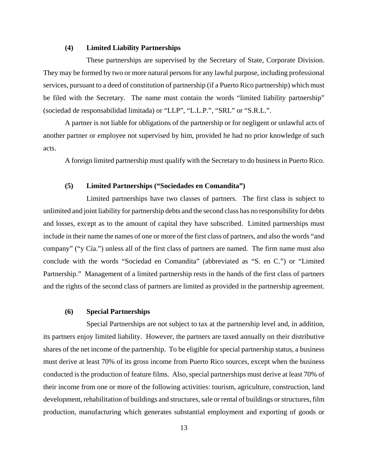# **(4) Limited Liability Partnerships**

These partnerships are supervised by the Secretary of State, Corporate Division. They may be formed by two or more natural persons for any lawful purpose, including professional services, pursuant to a deed of constitution of partnership (if a Puerto Rico partnership) which must be filed with the Secretary. The name must contain the words "limited liability partnership" (sociedad de responsabilidad limitada) or "LLP", "L.L.P.", "SRL" or "S.R.L.".

A partner is not liable for obligations of the partnership or for negligent or unlawful acts of another partner or employee not supervised by him, provided he had no prior knowledge of such acts.

A foreign limited partnership must qualify with the Secretary to do business in Puerto Rico.

# **(5) Limited Partnerships ("Sociedades en Comandita")**

Limited partnerships have two classes of partners. The first class is subject to unlimited and joint liability for partnership debts and the second class has no responsibility for debts and losses, except as to the amount of capital they have subscribed. Limited partnerships must include in their name the names of one or more of the first class of partners, and also the words "and company" ("y Cía.") unless all of the first class of partners are named. The firm name must also conclude with the words "Sociedad en Comandita" (abbreviated as "S. en C.") or "Limited Partnership." Management of a limited partnership rests in the hands of the first class of partners and the rights of the second class of partners are limited as provided in the partnership agreement.

#### **(6) Special Partnerships**

Special Partnerships are not subject to tax at the partnership level and, in addition, its partners enjoy limited liability. However, the partners are taxed annually on their distributive shares of the net income of the partnership. To be eligible for special partnership status, a business must derive at least 70% of its gross income from Puerto Rico sources, except when the business conducted is the production of feature films. Also, special partnerships must derive at least 70% of their income from one or more of the following activities: tourism, agriculture, construction, land development, rehabilitation of buildings and structures, sale or rental of buildings or structures, film production, manufacturing which generates substantial employment and exporting of goods or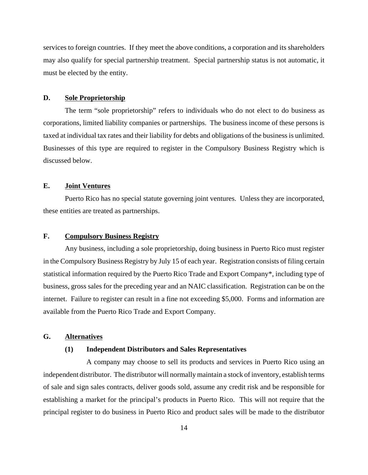services to foreign countries. If they meet the above conditions, a corporation and its shareholders may also qualify for special partnership treatment. Special partnership status is not automatic, it must be elected by the entity.

## **D. Sole Proprietorship**

The term "sole proprietorship" refers to individuals who do not elect to do business as corporations, limited liability companies or partnerships. The business income of these persons is taxed at individual tax rates and their liability for debts and obligations of the business is unlimited. Businesses of this type are required to register in the Compulsory Business Registry which is discussed below.

# **E. Joint Ventures**

Puerto Rico has no special statute governing joint ventures. Unless they are incorporated, these entities are treated as partnerships.

#### **F. Compulsory Business Registry**

Any business, including a sole proprietorship, doing business in Puerto Rico must register in the Compulsory Business Registry by July 15 of each year. Registration consists of filing certain statistical information required by the Puerto Rico Trade and Export Company\*, including type of business, gross sales for the preceding year and an NAIC classification. Registration can be on the internet. Failure to register can result in a fine not exceeding \$5,000. Forms and information are available from the Puerto Rico Trade and Export Company.

# **G. Alternatives**

#### **(1) Independent Distributors and Sales Representatives**

A company may choose to sell its products and services in Puerto Rico using an independent distributor. The distributor will normally maintain a stock of inventory, establish terms of sale and sign sales contracts, deliver goods sold, assume any credit risk and be responsible for establishing a market for the principal's products in Puerto Rico. This will not require that the principal register to do business in Puerto Rico and product sales will be made to the distributor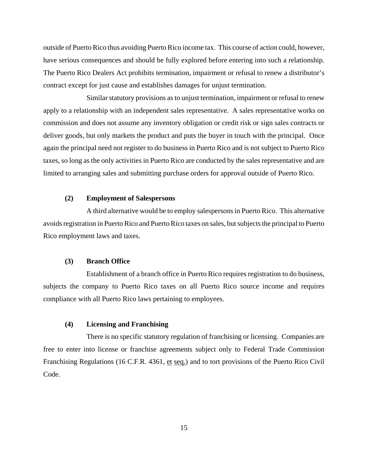outside of Puerto Rico thus avoiding Puerto Rico income tax. This course of action could, however, have serious consequences and should be fully explored before entering into such a relationship. The Puerto Rico Dealers Act prohibits termination, impairment or refusal to renew a distributor's contract except for just cause and establishes damages for unjust termination.

Similar statutory provisions as to unjust termination, impairment or refusal to renew apply to a relationship with an independent sales representative. A sales representative works on commission and does not assume any inventory obligation or credit risk or sign sales contracts or deliver goods, but only markets the product and puts the buyer in touch with the principal. Once again the principal need not register to do business in Puerto Rico and is not subject to Puerto Rico taxes, so long as the only activities in Puerto Rico are conducted by the sales representative and are limited to arranging sales and submitting purchase orders for approval outside of Puerto Rico.

#### **(2) Employment of Salespersons**

A third alternative would be to employ salespersons in Puerto Rico. This alternative avoids registration in Puerto Rico and Puerto Rico taxes on sales, but subjects the principal to Puerto Rico employment laws and taxes.

#### **(3) Branch Office**

Establishment of a branch office in Puerto Rico requires registration to do business, subjects the company to Puerto Rico taxes on all Puerto Rico source income and requires compliance with all Puerto Rico laws pertaining to employees.

# **(4) Licensing and Franchising**

There is no specific statutory regulation of franchising or licensing. Companies are free to enter into license or franchise agreements subject only to Federal Trade Commission Franchising Regulations (16 C.F.R. 4361, et seq.) and to tort provisions of the Puerto Rico Civil Code.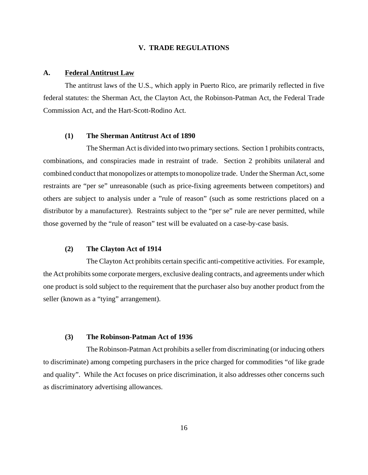#### **V. TRADE REGULATIONS**

#### **A. Federal Antitrust Law**

The antitrust laws of the U.S., which apply in Puerto Rico, are primarily reflected in five federal statutes: the Sherman Act, the Clayton Act, the Robinson-Patman Act, the Federal Trade Commission Act, and the Hart-Scott-Rodino Act.

#### **(1) The Sherman Antitrust Act of 1890**

The Sherman Act is divided into two primary sections. Section 1 prohibits contracts, combinations, and conspiracies made in restraint of trade. Section 2 prohibits unilateral and combined conduct that monopolizes or attempts to monopolize trade. Under the Sherman Act, some restraints are "per se" unreasonable (such as price-fixing agreements between competitors) and others are subject to analysis under a "rule of reason" (such as some restrictions placed on a distributor by a manufacturer). Restraints subject to the "per se" rule are never permitted, while those governed by the "rule of reason" test will be evaluated on a case-by-case basis.

#### **(2) The Clayton Act of 1914**

The Clayton Act prohibits certain specific anti-competitive activities. For example, the Act prohibits some corporate mergers, exclusive dealing contracts, and agreements under which one product is sold subject to the requirement that the purchaser also buy another product from the seller (known as a "tying" arrangement).

#### **(3) The Robinson-Patman Act of 1936**

The Robinson-Patman Act prohibits a seller from discriminating (or inducing others to discriminate) among competing purchasers in the price charged for commodities "of like grade and quality". While the Act focuses on price discrimination, it also addresses other concerns such as discriminatory advertising allowances.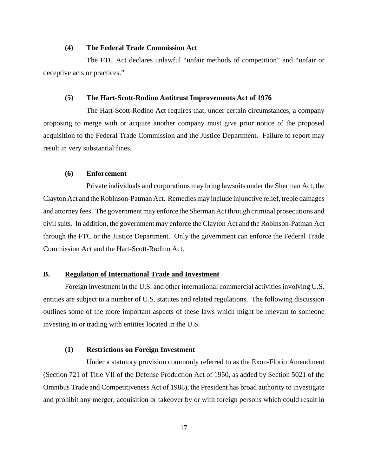#### **(4) The Federal Trade Commission Act**

The FTC Act declares unlawful "unfair methods of competition" and "unfair or deceptive acts or practices."

#### **(5) The Hart-Scott-Rodino Antitrust Improvements Act of 1976**

The Hart-Scott-Rodino Act requires that, under certain circumstances, a company proposing to merge with or acquire another company must give prior notice of the proposed acquisition to the Federal Trade Commission and the Justice Department. Failure to report may result in very substantial fines.

# **(6) Enforcement**

Private individuals and corporations may bring lawsuits under the Sherman Act, the Clayton Act and the Robinson-Patman Act. Remedies may include injunctive relief, treble damages and attorney fees. The government may enforce the Sherman Act through criminal prosecutions and civil suits. In addition, the government may enforce the Clayton Act and the Robinson-Patman Act through the FTC or the Justice Department. Only the government can enforce the Federal Trade Commission Act and the Hart-Scott-Rodino Act.

#### **B. Regulation of International Trade and Investment**

Foreign investment in the U.S. and other international commercial activities involving U.S. entities are subject to a number of U.S. statutes and related regulations. The following discussion outlines some of the more important aspects of these laws which might be relevant to someone investing in or trading with entities located in the U.S.

#### **(1) Restrictions on Foreign Investment**

Under a statutory provision commonly referred to as the Exon-Florio Amendment (Section 721 of Title VII of the Defense Production Act of 1950, as added by Section 5021 of the Omnibus Trade and Competitiveness Act of 1988), the President has broad authority to investigate and prohibit any merger, acquisition or takeover by or with foreign persons which could result in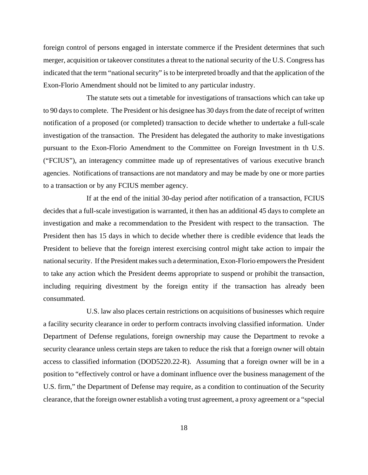foreign control of persons engaged in interstate commerce if the President determines that such merger, acquisition or takeover constitutes a threat to the national security of the U.S. Congress has indicated that the term "national security" is to be interpreted broadly and that the application of the Exon-Florio Amendment should not be limited to any particular industry.

The statute sets out a timetable for investigations of transactions which can take up to 90 days to complete. The President or his designee has 30 days from the date of receipt of written notification of a proposed (or completed) transaction to decide whether to undertake a full-scale investigation of the transaction. The President has delegated the authority to make investigations pursuant to the Exon-Florio Amendment to the Committee on Foreign Investment in th U.S. ("FCIUS"), an interagency committee made up of representatives of various executive branch agencies. Notifications of transactions are not mandatory and may be made by one or more parties to a transaction or by any FCIUS member agency.

If at the end of the initial 30-day period after notification of a transaction, FCIUS decides that a full-scale investigation is warranted, it then has an additional 45 days to complete an investigation and make a recommendation to the President with respect to the transaction. The President then has 15 days in which to decide whether there is credible evidence that leads the President to believe that the foreign interest exercising control might take action to impair the national security. If the President makes such a determination, Exon-Florio empowers the President to take any action which the President deems appropriate to suspend or prohibit the transaction, including requiring divestment by the foreign entity if the transaction has already been consummated.

U.S. law also places certain restrictions on acquisitions of businesses which require a facility security clearance in order to perform contracts involving classified information. Under Department of Defense regulations, foreign ownership may cause the Department to revoke a security clearance unless certain steps are taken to reduce the risk that a foreign owner will obtain access to classified information (DOD5220.22-R). Assuming that a foreign owner will be in a position to "effectively control or have a dominant influence over the business management of the U.S. firm," the Department of Defense may require, as a condition to continuation of the Security clearance, that the foreign owner establish a voting trust agreement, a proxy agreement or a "special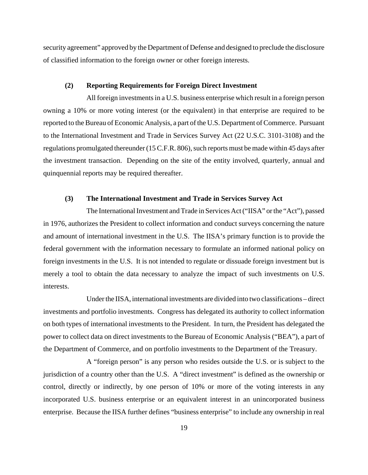security agreement" approved by the Department of Defense and designed to preclude the disclosure of classified information to the foreign owner or other foreign interests.

#### **(2) Reporting Requirements for Foreign Direct Investment**

All foreign investments in a U.S. business enterprise which result in a foreign person owning a 10% or more voting interest (or the equivalent) in that enterprise are required to be reported to the Bureau of Economic Analysis, a part of the U.S. Department of Commerce. Pursuant to the International Investment and Trade in Services Survey Act (22 U.S.C. 3101-3108) and the regulations promulgated thereunder (15 C.F.R. 806), such reports must be made within 45 days after the investment transaction. Depending on the site of the entity involved, quarterly, annual and quinquennial reports may be required thereafter.

#### **(3) The International Investment and Trade in Services Survey Act**

The International Investment and Trade in Services Act ("IISA" or the "Act"), passed in 1976, authorizes the President to collect information and conduct surveys concerning the nature and amount of international investment in the U.S. The IISA's primary function is to provide the federal government with the information necessary to formulate an informed national policy on foreign investments in the U.S. It is not intended to regulate or dissuade foreign investment but is merely a tool to obtain the data necessary to analyze the impact of such investments on U.S. interests.

Under the IISA, international investments are divided into two classifications – direct investments and portfolio investments. Congress has delegated its authority to collect information on both types of international investments to the President. In turn, the President has delegated the power to collect data on direct investments to the Bureau of Economic Analysis ("BEA"), a part of the Department of Commerce, and on portfolio investments to the Department of the Treasury.

A "foreign person" is any person who resides outside the U.S. or is subject to the jurisdiction of a country other than the U.S. A "direct investment" is defined as the ownership or control, directly or indirectly, by one person of 10% or more of the voting interests in any incorporated U.S. business enterprise or an equivalent interest in an unincorporated business enterprise. Because the IISA further defines "business enterprise" to include any ownership in real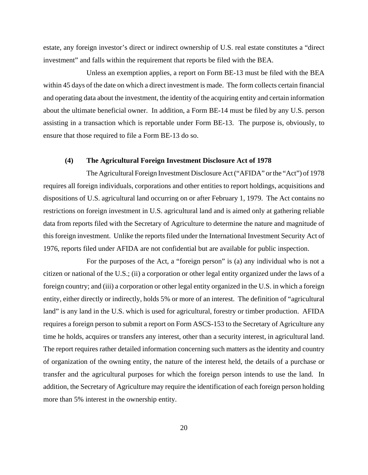estate, any foreign investor's direct or indirect ownership of U.S. real estate constitutes a "direct investment" and falls within the requirement that reports be filed with the BEA.

Unless an exemption applies, a report on Form BE-13 must be filed with the BEA within 45 days of the date on which a direct investment is made. The form collects certain financial and operating data about the investment, the identity of the acquiring entity and certain information about the ultimate beneficial owner. In addition, a Form BE-14 must be filed by any U.S. person assisting in a transaction which is reportable under Form BE-13. The purpose is, obviously, to ensure that those required to file a Form BE-13 do so.

#### **(4) The Agricultural Foreign Investment Disclosure Act of 1978**

The Agricultural Foreign Investment Disclosure Act ("AFIDA" or the "Act") of 1978 requires all foreign individuals, corporations and other entities to report holdings, acquisitions and dispositions of U.S. agricultural land occurring on or after February 1, 1979. The Act contains no restrictions on foreign investment in U.S. agricultural land and is aimed only at gathering reliable data from reports filed with the Secretary of Agriculture to determine the nature and magnitude of this foreign investment. Unlike the reports filed under the International Investment Security Act of 1976, reports filed under AFIDA are not confidential but are available for public inspection.

For the purposes of the Act, a "foreign person" is (a) any individual who is not a citizen or national of the U.S.; (ii) a corporation or other legal entity organized under the laws of a foreign country; and (iii) a corporation or other legal entity organized in the U.S. in which a foreign entity, either directly or indirectly, holds 5% or more of an interest. The definition of "agricultural land" is any land in the U.S. which is used for agricultural, forestry or timber production. AFIDA requires a foreign person to submit a report on Form ASCS-153 to the Secretary of Agriculture any time he holds, acquires or transfers any interest, other than a security interest, in agricultural land. The report requires rather detailed information concerning such matters as the identity and country of organization of the owning entity, the nature of the interest held, the details of a purchase or transfer and the agricultural purposes for which the foreign person intends to use the land. In addition, the Secretary of Agriculture may require the identification of each foreign person holding more than 5% interest in the ownership entity.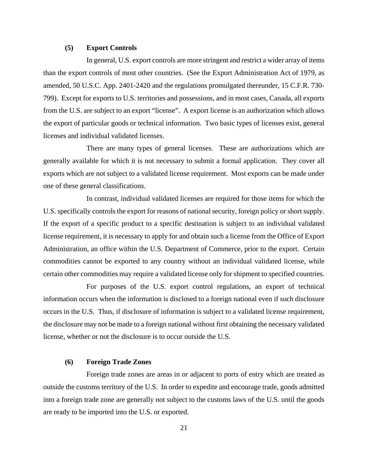#### **(5) Export Controls**

In general, U.S. export controls are more stringent and restrict a wider array of items than the export controls of most other countries. (See the Export Administration Act of 1979, as amended, 50 U.S.C. App. 2401-2420 and the regulations promulgated thereunder, 15 C.F.R. 730- 799). Except for exports to U.S. territories and possessions, and in most cases, Canada, all exports from the U.S. are subject to an export "license". A export license is an authorization which allows the export of particular goods or technical information. Two basic types of licenses exist, general licenses and individual validated licenses.

There are many types of general licenses. These are authorizations which are generally available for which it is not necessary to submit a formal application. They cover all exports which are not subject to a validated license requirement. Most exports can be made under one of these general classifications.

In contrast, individual validated licenses are required for those items for which the U.S. specifically controls the export for reasons of national security, foreign policy or short supply. If the export of a specific product to a specific destination is subject to an individual validated license requirement, it is necessary to apply for and obtain such a license from the Office of Export Administration, an office within the U.S. Department of Commerce, prior to the export. Certain commodities cannot be exported to any country without an individual validated license, while certain other commodities may require a validated license only for shipment to specified countries.

For purposes of the U.S. export control regulations, an export of technical information occurs when the information is disclosed to a foreign national even if such disclosure occurs in the U.S. Thus, if disclosure of information is subject to a validated license requirement, the disclosure may not be made to a foreign national without first obtaining the necessary validated license, whether or not the disclosure is to occur outside the U.S.

#### **(6) Foreign Trade Zones**

Foreign trade zones are areas in or adjacent to ports of entry which are treated as outside the customs territory of the U.S. In order to expedite and encourage trade, goods admitted into a foreign trade zone are generally not subject to the customs laws of the U.S. until the goods are ready to be imported into the U.S. or exported.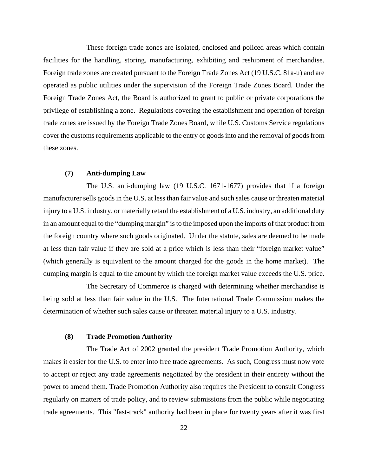These foreign trade zones are isolated, enclosed and policed areas which contain facilities for the handling, storing, manufacturing, exhibiting and reshipment of merchandise. Foreign trade zones are created pursuant to the Foreign Trade Zones Act (19 U.S.C. 81a-u) and are operated as public utilities under the supervision of the Foreign Trade Zones Board. Under the Foreign Trade Zones Act, the Board is authorized to grant to public or private corporations the privilege of establishing a zone. Regulations covering the establishment and operation of foreign trade zones are issued by the Foreign Trade Zones Board, while U.S. Customs Service regulations cover the customs requirements applicable to the entry of goods into and the removal of goods from these zones.

## **(7) Anti-dumping Law**

The U.S. anti-dumping law (19 U.S.C. 1671-1677) provides that if a foreign manufacturer sells goods in the U.S. at less than fair value and such sales cause or threaten material injury to a U.S. industry, or materially retard the establishment of a U.S. industry, an additional duty in an amount equal to the "dumping margin" is to the imposed upon the imports of that product from the foreign country where such goods originated. Under the statute, sales are deemed to be made at less than fair value if they are sold at a price which is less than their "foreign market value" (which generally is equivalent to the amount charged for the goods in the home market). The dumping margin is equal to the amount by which the foreign market value exceeds the U.S. price.

The Secretary of Commerce is charged with determining whether merchandise is being sold at less than fair value in the U.S. The International Trade Commission makes the determination of whether such sales cause or threaten material injury to a U.S. industry.

#### **(8) Trade Promotion Authority**

The Trade Act of 2002 granted the president Trade Promotion Authority, which makes it easier for the U.S. to enter into free trade agreements. As such, Congress must now vote to accept or reject any trade agreements negotiated by the president in their entirety without the power to amend them. Trade Promotion Authority also requires the President to consult Congress regularly on matters of trade policy, and to review submissions from the public while negotiating trade agreements. This "fast-track" authority had been in place for twenty years after it was first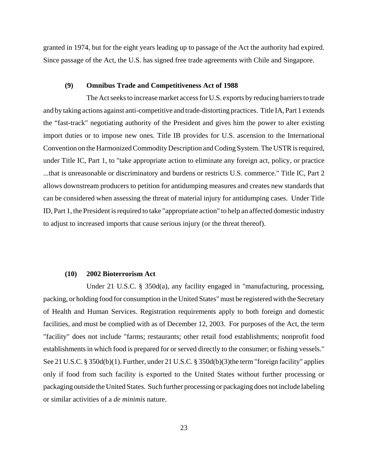granted in 1974, but for the eight years leading up to passage of the Act the authority had expired. Since passage of the Act, the U.S. has signed free trade agreements with Chile and Singapore.

#### **(9) Omnibus Trade and Competitiveness Act of 1988**

The Act seeks to increase market access for U.S. exports by reducing barriers to trade and by taking actions against anti-competitive and trade-distorting practices. Title IA, Part 1 extends the "fast-track" negotiating authority of the President and gives him the power to alter existing import duties or to impose new ones. Title IB provides for U.S. ascension to the International Convention on the Harmonized Commodity Description and Coding System. The USTR is required, under Title IC, Part 1, to "take appropriate action to eliminate any foreign act, policy, or practice ...that is unreasonable or discriminatory and burdens or restricts U.S. commerce." Title IC, Part 2 allows downstream producers to petition for antidumping measures and creates new standards that can be considered when assessing the threat of material injury for antidumping cases. Under Title ID, Part 1, the President is required to take "appropriate action" to help an affected domestic industry to adjust to increased imports that cause serious injury (or the threat thereof).

#### **(10) 2002 Bioterrorism Act**

Under 21 U.S.C. § 350d(a), any facility engaged in "manufacturing, processing, packing, or holding food for consumption in the United States" must be registered with the Secretary of Health and Human Services. Registration requirements apply to both foreign and domestic facilities, and must be complied with as of December 12, 2003. For purposes of the Act, the term "facility" does not include "farms; restaurants; other retail food establishments; nonprofit food establishments in which food is prepared for or served directly to the consumer; or fishing vessels." See 21 U.S.C. § 350d(b)(1). Further, under 21 U.S.C. § 350d(b)(3)the term "foreign facility" applies only if food from such facility is exported to the United States without further processing or packaging outside the United States. Such further processing or packaging does not include labeling or similar activities of a *de minimis* nature.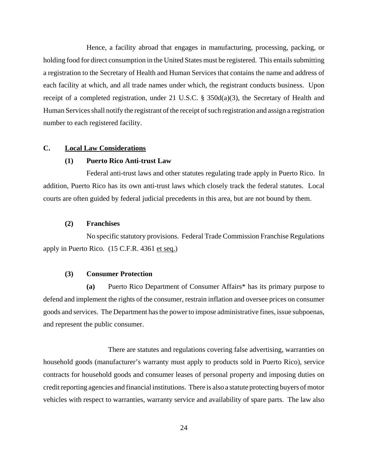Hence, a facility abroad that engages in manufacturing, processing, packing, or holding food for direct consumption in the United States must be registered. This entails submitting a registration to the Secretary of Health and Human Services that contains the name and address of each facility at which, and all trade names under which, the registrant conducts business. Upon receipt of a completed registration, under 21 U.S.C. § 350d(a)(3), the Secretary of Health and Human Services shall notify the registrant of the receipt of such registration and assign a registration number to each registered facility.

# **C. Local Law Considerations**

#### **(1) Puerto Rico Anti-trust Law**

Federal anti-trust laws and other statutes regulating trade apply in Puerto Rico. In addition, Puerto Rico has its own anti-trust laws which closely track the federal statutes. Local courts are often guided by federal judicial precedents in this area, but are not bound by them.

#### **(2) Franchises**

No specific statutory provisions. Federal Trade Commission Franchise Regulations apply in Puerto Rico. (15 C.F.R. 4361 et seq.)

#### **(3) Consumer Protection**

**(a)** Puerto Rico Department of Consumer Affairs\* has its primary purpose to defend and implement the rights of the consumer, restrain inflation and oversee prices on consumer goods and services. The Department has the power to impose administrative fines, issue subpoenas, and represent the public consumer.

There are statutes and regulations covering false advertising, warranties on household goods (manufacturer's warranty must apply to products sold in Puerto Rico), service contracts for household goods and consumer leases of personal property and imposing duties on credit reporting agencies and financial institutions. There is also a statute protecting buyers of motor vehicles with respect to warranties, warranty service and availability of spare parts. The law also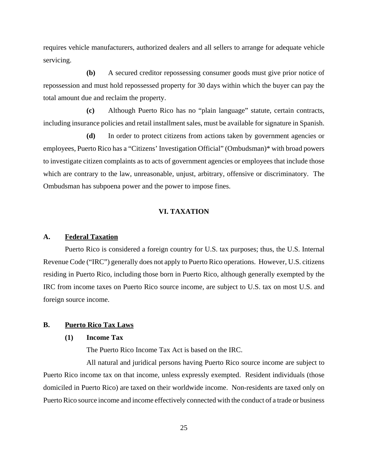requires vehicle manufacturers, authorized dealers and all sellers to arrange for adequate vehicle servicing.

**(b)** A secured creditor repossessing consumer goods must give prior notice of repossession and must hold repossessed property for 30 days within which the buyer can pay the total amount due and reclaim the property.

**(c)** Although Puerto Rico has no "plain language" statute, certain contracts, including insurance policies and retail installment sales, must be available for signature in Spanish.

**(d)** In order to protect citizens from actions taken by government agencies or employees, Puerto Rico has a "Citizens' Investigation Official" (Ombudsman)\* with broad powers to investigate citizen complaints as to acts of government agencies or employees that include those which are contrary to the law, unreasonable, unjust, arbitrary, offensive or discriminatory. The Ombudsman has subpoena power and the power to impose fines.

# **VI. TAXATION**

#### **A. Federal Taxation**

Puerto Rico is considered a foreign country for U.S. tax purposes; thus, the U.S. Internal Revenue Code ("IRC") generally does not apply to Puerto Rico operations. However, U.S. citizens residing in Puerto Rico, including those born in Puerto Rico, although generally exempted by the IRC from income taxes on Puerto Rico source income, are subject to U.S. tax on most U.S. and foreign source income.

#### **B. Puerto Rico Tax Laws**

#### **(1) Income Tax**

The Puerto Rico Income Tax Act is based on the IRC.

All natural and juridical persons having Puerto Rico source income are subject to Puerto Rico income tax on that income, unless expressly exempted. Resident individuals (those domiciled in Puerto Rico) are taxed on their worldwide income. Non-residents are taxed only on Puerto Rico source income and income effectively connected with the conduct of a trade or business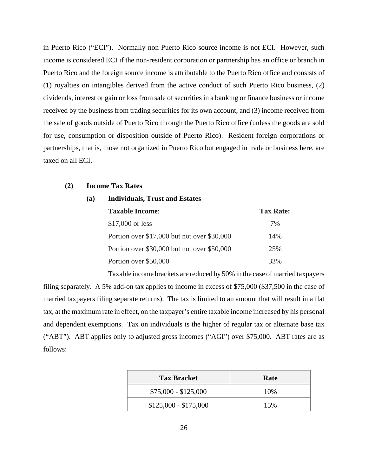in Puerto Rico ("ECI"). Normally non Puerto Rico source income is not ECI. However, such income is considered ECI if the non-resident corporation or partnership has an office or branch in Puerto Rico and the foreign source income is attributable to the Puerto Rico office and consists of (1) royalties on intangibles derived from the active conduct of such Puerto Rico business, (2) dividends, interest or gain or loss from sale of securities in a banking or finance business or income received by the business from trading securities for its own account, and (3) income received from the sale of goods outside of Puerto Rico through the Puerto Rico office (unless the goods are sold for use, consumption or disposition outside of Puerto Rico). Resident foreign corporations or partnerships, that is, those not organized in Puerto Rico but engaged in trade or business here, are taxed on all ECI.

#### **(2) Income Tax Rates**

#### **(a) Individuals, Trust and Estates**

| <b>Taxable Income:</b>                        | <b>Tax Rate:</b> |
|-----------------------------------------------|------------------|
| $$17,000$ or less                             | 7%               |
| Portion over $$17,000$ but not over $$30,000$ | 14%              |
| Portion over \$30,000 but not over \$50,000   | 25%              |
| Portion over \$50,000                         | 33%              |

Taxable income brackets are reduced by 50% in the case of married taxpayers

filing separately. A 5% add-on tax applies to income in excess of \$75,000 (\$37,500 in the case of married taxpayers filing separate returns). The tax is limited to an amount that will result in a flat tax, at the maximum rate in effect, on the taxpayer's entire taxable income increased by his personal and dependent exemptions. Tax on individuals is the higher of regular tax or alternate base tax ("ABT"). ABT applies only to adjusted gross incomes ("AGI") over \$75,000. ABT rates are as follows:

| <b>Tax Bracket</b>    | Rate |
|-----------------------|------|
| $$75,000 - $125,000$  | 10%  |
| $$125,000 - $175,000$ | 15%  |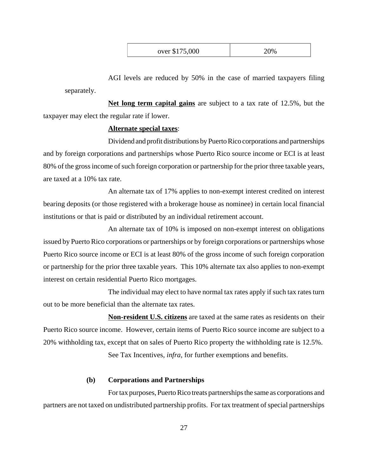| over \$175,000 | 20% |
|----------------|-----|
|----------------|-----|

AGI levels are reduced by 50% in the case of married taxpayers filing separately.

**Net long term capital gains** are subject to a tax rate of 12.5%, but the taxpayer may elect the regular rate if lower.

# **Alternate special taxes**:

Dividend and profit distributions by Puerto Rico corporations and partnerships and by foreign corporations and partnerships whose Puerto Rico source income or ECI is at least 80% of the gross income of such foreign corporation or partnership for the prior three taxable years, are taxed at a 10% tax rate.

An alternate tax of 17% applies to non-exempt interest credited on interest bearing deposits (or those registered with a brokerage house as nominee) in certain local financial institutions or that is paid or distributed by an individual retirement account.

An alternate tax of 10% is imposed on non-exempt interest on obligations issued by Puerto Rico corporations or partnerships or by foreign corporations or partnerships whose Puerto Rico source income or ECI is at least 80% of the gross income of such foreign corporation or partnership for the prior three taxable years. This 10% alternate tax also applies to non-exempt interest on certain residential Puerto Rico mortgages.

The individual may elect to have normal tax rates apply if such tax rates turn out to be more beneficial than the alternate tax rates.

**Non-resident U.S. citizens** are taxed at the same rates as residents on their Puerto Rico source income. However, certain items of Puerto Rico source income are subject to a 20% withholding tax, except that on sales of Puerto Rico property the withholding rate is 12.5%.

See Tax Incentives, *infra*, for further exemptions and benefits.

## **(b) Corporations and Partnerships**

For tax purposes, Puerto Rico treats partnerships the same as corporations and partners are not taxed on undistributed partnership profits. For tax treatment of special partnerships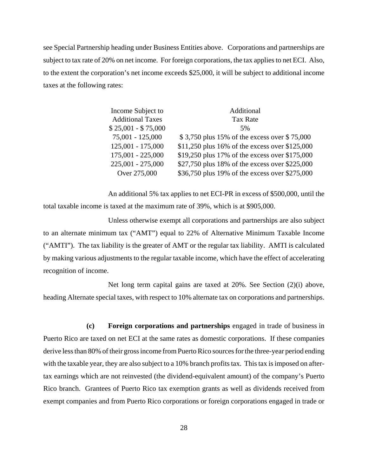see Special Partnership heading under Business Entities above. Corporations and partnerships are subject to tax rate of 20% on net income. For foreign corporations, the tax applies to net ECI. Also, to the extent the corporation's net income exceeds \$25,000, it will be subject to additional income taxes at the following rates:

| Income Subject to       | Additional                                     |
|-------------------------|------------------------------------------------|
| <b>Additional Taxes</b> | <b>Tax Rate</b>                                |
| $$25,001 - $75,000$     | 5%                                             |
| 75,001 - 125,000        | \$3,750 plus 15% of the excess over \$75,000   |
| 125,001 - 175,000       | \$11,250 plus 16% of the excess over \$125,000 |
| $175,001 - 225,000$     | \$19,250 plus 17% of the excess over \$175,000 |
| $225,001 - 275,000$     | \$27,750 plus 18% of the excess over \$225,000 |
| Over 275,000            | \$36,750 plus 19% of the excess over \$275,000 |

An additional 5% tax applies to net ECI-PR in excess of \$500,000, until the total taxable income is taxed at the maximum rate of 39%, which is at \$905,000.

Unless otherwise exempt all corporations and partnerships are also subject to an alternate minimum tax ("AMT") equal to 22% of Alternative Minimum Taxable Income ("AMTI"). The tax liability is the greater of AMT or the regular tax liability. AMTI is calculated by making various adjustments to the regular taxable income, which have the effect of accelerating recognition of income.

Net long term capital gains are taxed at 20%. See Section (2)(i) above, heading Alternate special taxes, with respect to 10% alternate tax on corporations and partnerships.

**(c) Foreign corporations and partnerships** engaged in trade of business in Puerto Rico are taxed on net ECI at the same rates as domestic corporations. If these companies derive less than 80% of their gross income from Puerto Rico sources for the three-year period ending with the taxable year, they are also subject to a 10% branch profits tax. This tax is imposed on aftertax earnings which are not reinvested (the dividend-equivalent amount) of the company's Puerto Rico branch. Grantees of Puerto Rico tax exemption grants as well as dividends received from exempt companies and from Puerto Rico corporations or foreign corporations engaged in trade or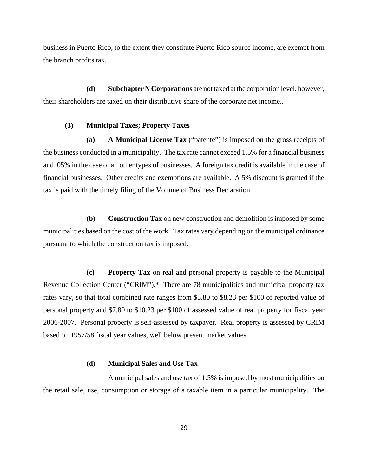business in Puerto Rico, to the extent they constitute Puerto Rico source income, are exempt from the branch profits tax.

**(d) Subchapter N Corporations** are not taxed at the corporation level, however, their shareholders are taxed on their distributive share of the corporate net income..

# **(3) Municipal Taxes; Property Taxes**

**(a) A Municipal License Tax** ("patente") is imposed on the gross receipts of the business conducted in a municipality. The tax rate cannot exceed 1.5% for a financial business and .05% in the case of all other types of businesses. A foreign tax credit is available in the case of financial businesses. Other credits and exemptions are available. A 5% discount is granted if the tax is paid with the timely filing of the Volume of Business Declaration.

**(b) Construction Tax** on new construction and demolition is imposed by some municipalities based on the cost of the work. Tax rates vary depending on the municipal ordinance pursuant to which the construction tax is imposed.

**(c) Property Tax** on real and personal property is payable to the Municipal Revenue Collection Center ("CRIM").\* There are 78 municipalities and municipal property tax rates vary, so that total combined rate ranges from \$5.80 to \$8.23 per \$100 of reported value of personal property and \$7.80 to \$10.23 per \$100 of assessed value of real property for fiscal year 2006-2007. Personal property is self-assessed by taxpayer. Real property is assessed by CRIM based on 1957/58 fiscal year values, well below present market values.

## **(d) Municipal Sales and Use Tax**

A municipal sales and use tax of 1.5% is imposed by most municipalities on the retail sale, use, consumption or storage of a taxable item in a particular municipality. The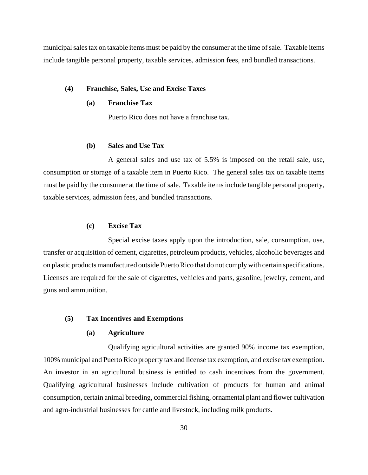municipal sales tax on taxable items must be paid by the consumer at the time of sale. Taxable items include tangible personal property, taxable services, admission fees, and bundled transactions.

# **(4) Franchise, Sales, Use and Excise Taxes**

# **(a) Franchise Tax**

Puerto Rico does not have a franchise tax.

# **(b) Sales and Use Tax**

A general sales and use tax of 5.5% is imposed on the retail sale, use, consumption or storage of a taxable item in Puerto Rico. The general sales tax on taxable items must be paid by the consumer at the time of sale. Taxable items include tangible personal property, taxable services, admission fees, and bundled transactions.

# **(c) Excise Tax**

Special excise taxes apply upon the introduction, sale, consumption, use, transfer or acquisition of cement, cigarettes, petroleum products, vehicles, alcoholic beverages and on plastic products manufactured outside Puerto Rico that do not comply with certain specifications. Licenses are required for the sale of cigarettes, vehicles and parts, gasoline, jewelry, cement, and guns and ammunition.

## **(5) Tax Incentives and Exemptions**

# **(a) Agriculture**

Qualifying agricultural activities are granted 90% income tax exemption, 100% municipal and Puerto Rico property tax and license tax exemption, and excise tax exemption. An investor in an agricultural business is entitled to cash incentives from the government. Qualifying agricultural businesses include cultivation of products for human and animal consumption, certain animal breeding, commercial fishing, ornamental plant and flower cultivation and agro-industrial businesses for cattle and livestock, including milk products.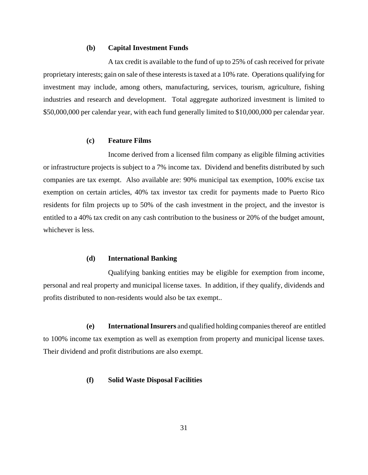## **(b) Capital Investment Funds**

A tax credit is available to the fund of up to 25% of cash received for private proprietary interests; gain on sale of these interests is taxed at a 10% rate. Operations qualifying for investment may include, among others, manufacturing, services, tourism, agriculture, fishing industries and research and development. Total aggregate authorized investment is limited to \$50,000,000 per calendar year, with each fund generally limited to \$10,000,000 per calendar year.

#### **(c) Feature Films**

Income derived from a licensed film company as eligible filming activities or infrastructure projects is subject to a 7% income tax. Dividend and benefits distributed by such companies are tax exempt. Also available are: 90% municipal tax exemption, 100% excise tax exemption on certain articles, 40% tax investor tax credit for payments made to Puerto Rico residents for film projects up to 50% of the cash investment in the project, and the investor is entitled to a 40% tax credit on any cash contribution to the business or 20% of the budget amount, whichever is less.

# **(d) International Banking**

Qualifying banking entities may be eligible for exemption from income, personal and real property and municipal license taxes. In addition, if they qualify, dividends and profits distributed to non-residents would also be tax exempt..

**(e) International Insurers** and qualified holding companies thereof are entitled to 100% income tax exemption as well as exemption from property and municipal license taxes. Their dividend and profit distributions are also exempt.

# **(f) Solid Waste Disposal Facilities**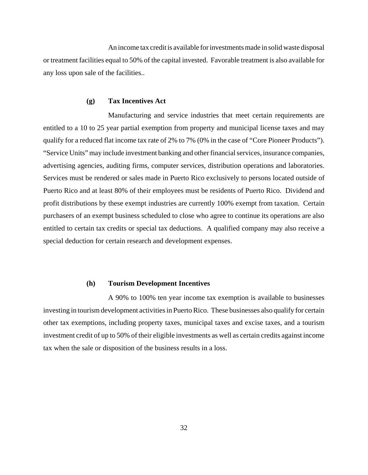An income tax credit is available for investments made in solid waste disposal or treatment facilities equal to 50% of the capital invested. Favorable treatment is also available for any loss upon sale of the facilities..

#### **(g) Tax Incentives Act**

Manufacturing and service industries that meet certain requirements are entitled to a 10 to 25 year partial exemption from property and municipal license taxes and may qualify for a reduced flat income tax rate of 2% to 7% (0% in the case of "Core Pioneer Products"). "Service Units" may include investment banking and other financial services, insurance companies, advertising agencies, auditing firms, computer services, distribution operations and laboratories. Services must be rendered or sales made in Puerto Rico exclusively to persons located outside of Puerto Rico and at least 80% of their employees must be residents of Puerto Rico. Dividend and profit distributions by these exempt industries are currently 100% exempt from taxation. Certain purchasers of an exempt business scheduled to close who agree to continue its operations are also entitled to certain tax credits or special tax deductions. A qualified company may also receive a special deduction for certain research and development expenses.

## **(h) Tourism Development Incentives**

A 90% to 100% ten year income tax exemption is available to businesses investing in tourism development activities in Puerto Rico. These businesses also qualify for certain other tax exemptions, including property taxes, municipal taxes and excise taxes, and a tourism investment credit of up to 50% of their eligible investments as well as certain credits against income tax when the sale or disposition of the business results in a loss.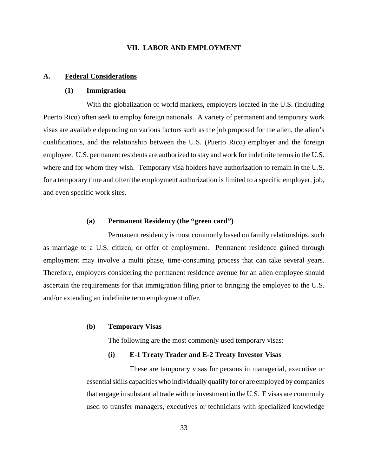# **VII. LABOR AND EMPLOYMENT**

# **A. Federal Considerations**

# **(1) Immigration**

With the globalization of world markets, employers located in the U.S. (including Puerto Rico) often seek to employ foreign nationals. A variety of permanent and temporary work visas are available depending on various factors such as the job proposed for the alien, the alien's qualifications, and the relationship between the U.S. (Puerto Rico) employer and the foreign employee. U.S. permanent residents are authorized to stay and work for indefinite terms in the U.S. where and for whom they wish. Temporary visa holders have authorization to remain in the U.S. for a temporary time and often the employment authorization is limited to a specific employer, job, and even specific work sites.

# **(a) Permanent Residency (the "green card")**

Permanent residency is most commonly based on family relationships, such as marriage to a U.S. citizen, or offer of employment. Permanent residence gained through employment may involve a multi phase, time-consuming process that can take several years. Therefore, employers considering the permanent residence avenue for an alien employee should ascertain the requirements for that immigration filing prior to bringing the employee to the U.S. and/or extending an indefinite term employment offer.

# **(b) Temporary Visas**

The following are the most commonly used temporary visas:

#### **(i) E-1 Treaty Trader and E-2 Treaty Investor Visas**

These are temporary visas for persons in managerial, executive or essential skills capacities who individually qualify for or are employed by companies that engage in substantial trade with or investment in the U.S. E visas are commonly used to transfer managers, executives or technicians with specialized knowledge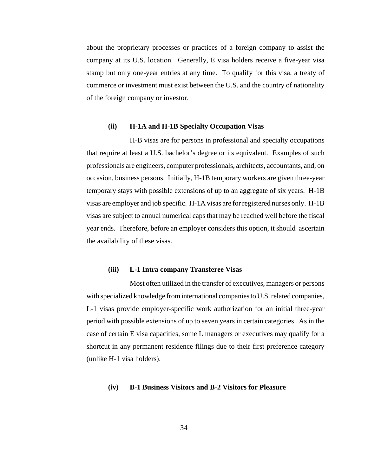about the proprietary processes or practices of a foreign company to assist the company at its U.S. location. Generally, E visa holders receive a five-year visa stamp but only one-year entries at any time. To qualify for this visa, a treaty of commerce or investment must exist between the U.S. and the country of nationality of the foreign company or investor.

#### **(ii) H-1A and H-1B Specialty Occupation Visas**

H-B visas are for persons in professional and specialty occupations that require at least a U.S. bachelor's degree or its equivalent. Examples of such professionals are engineers, computer professionals, architects, accountants, and, on occasion, business persons. Initially, H-1B temporary workers are given three-year temporary stays with possible extensions of up to an aggregate of six years. H-1B visas are employer and job specific. H-1A visas are for registered nurses only. H-1B visas are subject to annual numerical caps that may be reached well before the fiscal year ends. Therefore, before an employer considers this option, it should ascertain the availability of these visas.

#### **(iii) L-1 Intra company Transferee Visas**

Most often utilized in the transfer of executives, managers or persons with specialized knowledge from international companies to U.S. related companies, L-1 visas provide employer-specific work authorization for an initial three-year period with possible extensions of up to seven years in certain categories. As in the case of certain E visa capacities, some L managers or executives may qualify for a shortcut in any permanent residence filings due to their first preference category (unlike H-1 visa holders).

# **(iv) B-1 Business Visitors and B-2 Visitors for Pleasure**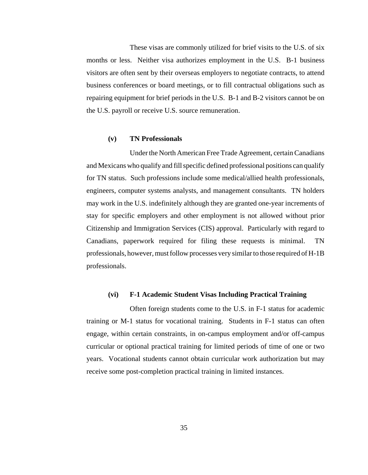These visas are commonly utilized for brief visits to the U.S. of six months or less. Neither visa authorizes employment in the U.S. B-1 business visitors are often sent by their overseas employers to negotiate contracts, to attend business conferences or board meetings, or to fill contractual obligations such as repairing equipment for brief periods in the U.S. B-1 and B-2 visitors cannot be on the U.S. payroll or receive U.S. source remuneration.

# **(v) TN Professionals**

Under the North American Free Trade Agreement, certain Canadians and Mexicans who qualify and fill specific defined professional positions can qualify for TN status. Such professions include some medical/allied health professionals, engineers, computer systems analysts, and management consultants. TN holders may work in the U.S. indefinitely although they are granted one-year increments of stay for specific employers and other employment is not allowed without prior Citizenship and Immigration Services (CIS) approval. Particularly with regard to Canadians, paperwork required for filing these requests is minimal. TN professionals, however, must follow processes very similar to those required of H-1B professionals.

#### **(vi) F-1 Academic Student Visas Including Practical Training**

Often foreign students come to the U.S. in F-1 status for academic training or M-1 status for vocational training. Students in F-1 status can often engage, within certain constraints, in on-campus employment and/or off-campus curricular or optional practical training for limited periods of time of one or two years. Vocational students cannot obtain curricular work authorization but may receive some post-completion practical training in limited instances.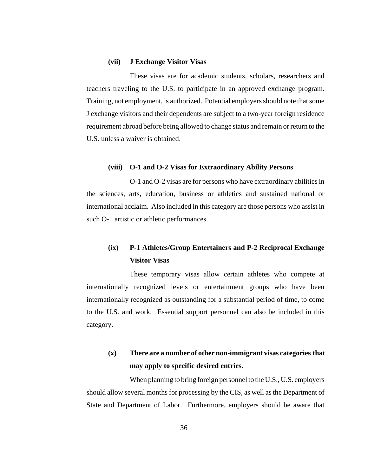#### **(vii) J Exchange Visitor Visas**

These visas are for academic students, scholars, researchers and teachers traveling to the U.S. to participate in an approved exchange program. Training, not employment, is authorized. Potential employers should note that some J exchange visitors and their dependents are subject to a two-year foreign residence requirement abroad before being allowed to change status and remain or return to the U.S. unless a waiver is obtained.

#### **(viii) O-1 and O-2 Visas for Extraordinary Ability Persons**

O-1 and O-2 visas are for persons who have extraordinary abilities in the sciences, arts, education, business or athletics and sustained national or international acclaim. Also included in this category are those persons who assist in such O-1 artistic or athletic performances.

# **(ix) P-1 Athletes/Group Entertainers and P-2 Reciprocal Exchange Visitor Visas**

These temporary visas allow certain athletes who compete at internationally recognized levels or entertainment groups who have been internationally recognized as outstanding for a substantial period of time, to come to the U.S. and work. Essential support personnel can also be included in this category.

# **(x) There are a number of other non-immigrant visas categories that may apply to specific desired entries.**

When planning to bring foreign personnel to the U.S., U.S. employers should allow several months for processing by the CIS, as well as the Department of State and Department of Labor. Furthermore, employers should be aware that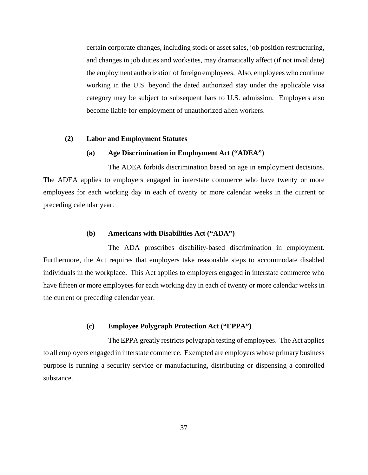certain corporate changes, including stock or asset sales, job position restructuring, and changes in job duties and worksites, may dramatically affect (if not invalidate) the employment authorization of foreign employees. Also, employees who continue working in the U.S. beyond the dated authorized stay under the applicable visa category may be subject to subsequent bars to U.S. admission. Employers also become liable for employment of unauthorized alien workers.

# **(2) Labor and Employment Statutes**

## **(a) Age Discrimination in Employment Act ("ADEA")**

The ADEA forbids discrimination based on age in employment decisions. The ADEA applies to employers engaged in interstate commerce who have twenty or more employees for each working day in each of twenty or more calendar weeks in the current or preceding calendar year.

# **(b) Americans with Disabilities Act ("ADA")**

The ADA proscribes disability-based discrimination in employment. Furthermore, the Act requires that employers take reasonable steps to accommodate disabled individuals in the workplace. This Act applies to employers engaged in interstate commerce who have fifteen or more employees for each working day in each of twenty or more calendar weeks in the current or preceding calendar year.

# **(c) Employee Polygraph Protection Act ("EPPA")**

The EPPA greatly restricts polygraph testing of employees. The Act applies to all employers engaged in interstate commerce. Exempted are employers whose primary business purpose is running a security service or manufacturing, distributing or dispensing a controlled substance.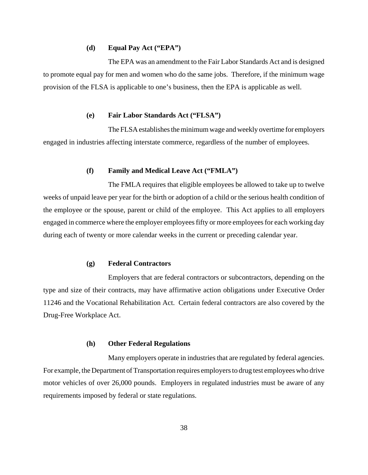# **(d) Equal Pay Act ("EPA")**

The EPA was an amendment to the Fair Labor Standards Act and is designed to promote equal pay for men and women who do the same jobs. Therefore, if the minimum wage provision of the FLSA is applicable to one's business, then the EPA is applicable as well.

#### **(e) Fair Labor Standards Act ("FLSA")**

The FLSA establishes the minimum wage and weekly overtime for employers engaged in industries affecting interstate commerce, regardless of the number of employees.

# **(f) Family and Medical Leave Act ("FMLA")**

The FMLA requires that eligible employees be allowed to take up to twelve weeks of unpaid leave per year for the birth or adoption of a child or the serious health condition of the employee or the spouse, parent or child of the employee. This Act applies to all employers engaged in commerce where the employer employees fifty or more employees for each working day during each of twenty or more calendar weeks in the current or preceding calendar year.

# **(g) Federal Contractors**

Employers that are federal contractors or subcontractors, depending on the type and size of their contracts, may have affirmative action obligations under Executive Order 11246 and the Vocational Rehabilitation Act. Certain federal contractors are also covered by the Drug-Free Workplace Act.

## **(h) Other Federal Regulations**

Many employers operate in industries that are regulated by federal agencies. For example, the Department of Transportation requires employers to drug test employees who drive motor vehicles of over 26,000 pounds. Employers in regulated industries must be aware of any requirements imposed by federal or state regulations.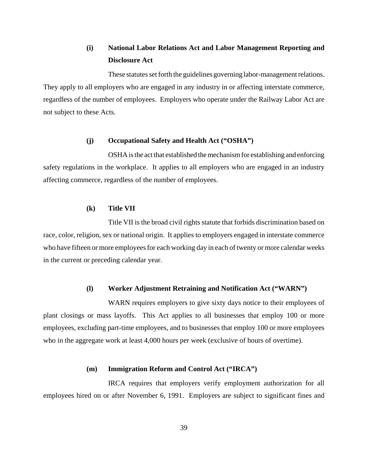# **(i) National Labor Relations Act and Labor Management Reporting and Disclosure Act**

These statutes set forth the guidelines governing labor-management relations. They apply to all employers who are engaged in any industry in or affecting interstate commerce, regardless of the number of employees. Employers who operate under the Railway Labor Act are not subject to these Acts.

#### **(j) Occupational Safety and Health Act ("OSHA")**

OSHA is the act that established the mechanism for establishing and enforcing safety regulations in the workplace. It applies to all employers who are engaged in an industry affecting commerce, regardless of the number of employees.

# **(k) Title VII**

Title VII is the broad civil rights statute that forbids discrimination based on race, color, religion, sex or national origin. It applies to employers engaged in interstate commerce who have fifteen or more employees for each working day in each of twenty or more calendar weeks in the current or preceding calendar year.

## **(l) Worker Adjustment Retraining and Notification Act ("WARN")**

WARN requires employers to give sixty days notice to their employees of plant closings or mass layoffs. This Act applies to all businesses that employ 100 or more employees, excluding part-time employees, and to businesses that employ 100 or more employees who in the aggregate work at least 4,000 hours per week (exclusive of hours of overtime).

#### **(m) Immigration Reform and Control Act ("IRCA")**

IRCA requires that employers verify employment authorization for all employees hired on or after November 6, 1991. Employers are subject to significant fines and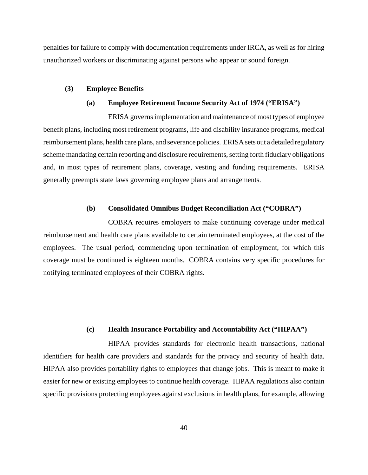penalties for failure to comply with documentation requirements under IRCA, as well as for hiring unauthorized workers or discriminating against persons who appear or sound foreign.

## **(3) Employee Benefits**

## **(a) Employee Retirement Income Security Act of 1974 ("ERISA")**

ERISA governs implementation and maintenance of most types of employee benefit plans, including most retirement programs, life and disability insurance programs, medical reimbursement plans, health care plans, and severance policies. ERISA sets out a detailed regulatory scheme mandating certain reporting and disclosure requirements, setting forth fiduciary obligations and, in most types of retirement plans, coverage, vesting and funding requirements. ERISA generally preempts state laws governing employee plans and arrangements.

# **(b) Consolidated Omnibus Budget Reconciliation Act ("COBRA")**

COBRA requires employers to make continuing coverage under medical reimbursement and health care plans available to certain terminated employees, at the cost of the employees. The usual period, commencing upon termination of employment, for which this coverage must be continued is eighteen months. COBRA contains very specific procedures for notifying terminated employees of their COBRA rights.

# **(c) Health Insurance Portability and Accountability Act ("HIPAA")**

HIPAA provides standards for electronic health transactions, national identifiers for health care providers and standards for the privacy and security of health data. HIPAA also provides portability rights to employees that change jobs. This is meant to make it easier for new or existing employees to continue health coverage. HIPAA regulations also contain specific provisions protecting employees against exclusions in health plans, for example, allowing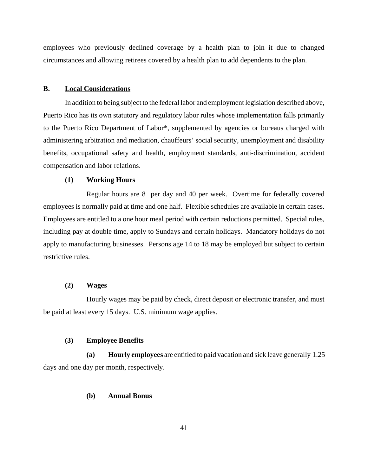employees who previously declined coverage by a health plan to join it due to changed circumstances and allowing retirees covered by a health plan to add dependents to the plan.

## **B. Local Considerations**

In addition to being subject to the federal labor and employment legislation described above, Puerto Rico has its own statutory and regulatory labor rules whose implementation falls primarily to the Puerto Rico Department of Labor\*, supplemented by agencies or bureaus charged with administering arbitration and mediation, chauffeurs' social security, unemployment and disability benefits, occupational safety and health, employment standards, anti-discrimination, accident compensation and labor relations.

# **(1) Working Hours**

Regular hours are 8 per day and 40 per week. Overtime for federally covered employees is normally paid at time and one half. Flexible schedules are available in certain cases. Employees are entitled to a one hour meal period with certain reductions permitted. Special rules, including pay at double time, apply to Sundays and certain holidays. Mandatory holidays do not apply to manufacturing businesses. Persons age 14 to 18 may be employed but subject to certain restrictive rules.

# **(2) Wages**

Hourly wages may be paid by check, direct deposit or electronic transfer, and must be paid at least every 15 days. U.S. minimum wage applies.

## **(3) Employee Benefits**

**(a) Hourly employees** are entitled to paid vacation and sick leave generally 1.25 days and one day per month, respectively.

# **(b) Annual Bonus**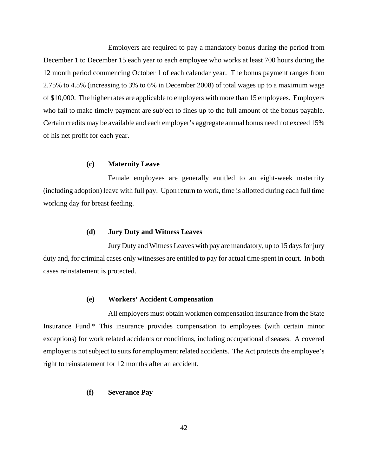Employers are required to pay a mandatory bonus during the period from December 1 to December 15 each year to each employee who works at least 700 hours during the 12 month period commencing October 1 of each calendar year. The bonus payment ranges from 2.75% to 4.5% (increasing to 3% to 6% in December 2008) of total wages up to a maximum wage of \$10,000. The higher rates are applicable to employers with more than 15 employees. Employers who fail to make timely payment are subject to fines up to the full amount of the bonus payable. Certain credits may be available and each employer's aggregate annual bonus need not exceed 15% of his net profit for each year.

#### **(c) Maternity Leave**

Female employees are generally entitled to an eight-week maternity (including adoption) leave with full pay. Upon return to work, time is allotted during each full time working day for breast feeding.

## **(d) Jury Duty and Witness Leaves**

Jury Duty and Witness Leaves with pay are mandatory, up to 15 days for jury duty and, for criminal cases only witnesses are entitled to pay for actual time spent in court. In both cases reinstatement is protected.

# **(e) Workers' Accident Compensation**

All employers must obtain workmen compensation insurance from the State Insurance Fund.\* This insurance provides compensation to employees (with certain minor exceptions) for work related accidents or conditions, including occupational diseases. A covered employer is not subject to suits for employment related accidents. The Act protects the employee's right to reinstatement for 12 months after an accident.

# **(f) Severance Pay**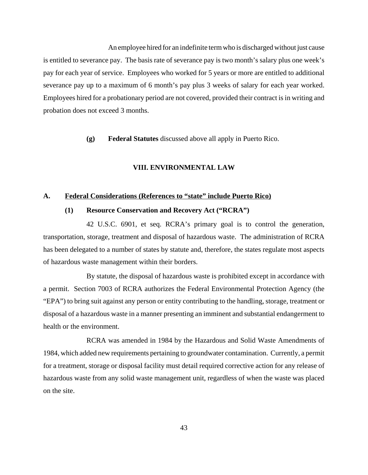An employee hired for an indefinite term who is discharged without just cause is entitled to severance pay. The basis rate of severance pay is two month's salary plus one week's pay for each year of service. Employees who worked for 5 years or more are entitled to additional severance pay up to a maximum of 6 month's pay plus 3 weeks of salary for each year worked. Employees hired for a probationary period are not covered, provided their contract is in writing and probation does not exceed 3 months.

**(g) Federal Statutes** discussed above all apply in Puerto Rico.

# **VIII. ENVIRONMENTAL LAW**

# **A. Federal Considerations (References to "state" include Puerto Rico)**

## **(1) Resource Conservation and Recovery Act ("RCRA")**

42 U.S.C. 6901, et seq. RCRA's primary goal is to control the generation, transportation, storage, treatment and disposal of hazardous waste. The administration of RCRA has been delegated to a number of states by statute and, therefore, the states regulate most aspects of hazardous waste management within their borders.

By statute, the disposal of hazardous waste is prohibited except in accordance with a permit. Section 7003 of RCRA authorizes the Federal Environmental Protection Agency (the "EPA") to bring suit against any person or entity contributing to the handling, storage, treatment or disposal of a hazardous waste in a manner presenting an imminent and substantial endangerment to health or the environment.

RCRA was amended in 1984 by the Hazardous and Solid Waste Amendments of 1984, which added new requirements pertaining to groundwater contamination. Currently, a permit for a treatment, storage or disposal facility must detail required corrective action for any release of hazardous waste from any solid waste management unit, regardless of when the waste was placed on the site.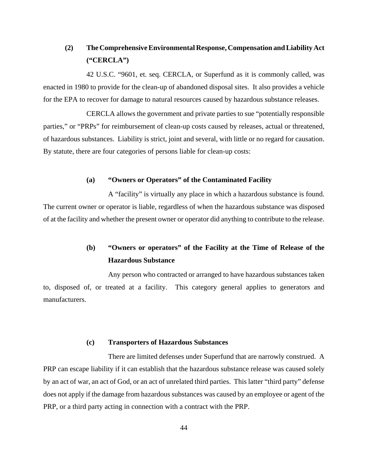# **(2) The Comprehensive Environmental Response, Compensation and Liability Act ("CERCLA")**

42 U.S.C. "9601, et. seq. CERCLA, or Superfund as it is commonly called, was enacted in 1980 to provide for the clean-up of abandoned disposal sites. It also provides a vehicle for the EPA to recover for damage to natural resources caused by hazardous substance releases.

CERCLA allows the government and private parties to sue "potentially responsible parties," or "PRPs" for reimbursement of clean-up costs caused by releases, actual or threatened, of hazardous substances. Liability is strict, joint and several, with little or no regard for causation. By statute, there are four categories of persons liable for clean-up costs:

## **(a) "Owners or Operators" of the Contaminated Facility**

A "facility" is virtually any place in which a hazardous substance is found. The current owner or operator is liable, regardless of when the hazardous substance was disposed of at the facility and whether the present owner or operator did anything to contribute to the release.

# **(b) "Owners or operators" of the Facility at the Time of Release of the Hazardous Substance**

Any person who contracted or arranged to have hazardous substances taken to, disposed of, or treated at a facility. This category general applies to generators and manufacturers.

#### **(c) Transporters of Hazardous Substances**

There are limited defenses under Superfund that are narrowly construed. A PRP can escape liability if it can establish that the hazardous substance release was caused solely by an act of war, an act of God, or an act of unrelated third parties. This latter "third party" defense does not apply if the damage from hazardous substances was caused by an employee or agent of the PRP, or a third party acting in connection with a contract with the PRP.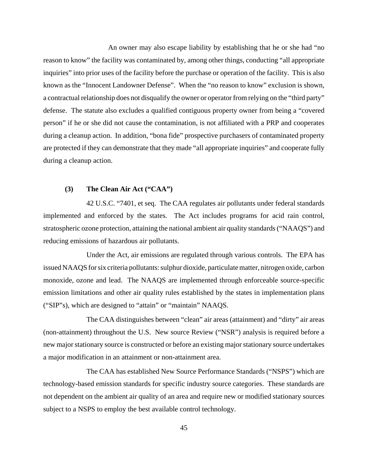An owner may also escape liability by establishing that he or she had "no reason to know" the facility was contaminated by, among other things, conducting "all appropriate inquiries" into prior uses of the facility before the purchase or operation of the facility. This is also known as the "Innocent Landowner Defense". When the "no reason to know" exclusion is shown, a contractual relationship does not disqualify the owner or operator from relying on the "third party" defense. The statute also excludes a qualified contiguous property owner from being a "covered person" if he or she did not cause the contamination, is not affiliated with a PRP and cooperates during a cleanup action. In addition, "bona fide" prospective purchasers of contaminated property are protected if they can demonstrate that they made "all appropriate inquiries" and cooperate fully during a cleanup action.

# **(3) The Clean Air Act ("CAA")**

42 U.S.C. "7401, et seq. The CAA regulates air pollutants under federal standards implemented and enforced by the states. The Act includes programs for acid rain control, stratospheric ozone protection, attaining the national ambient air quality standards ("NAAQS") and reducing emissions of hazardous air pollutants.

Under the Act, air emissions are regulated through various controls. The EPA has issued NAAQS for six criteria pollutants: sulphur dioxide, particulate matter, nitrogen oxide, carbon monoxide, ozone and lead. The NAAQS are implemented through enforceable source-specific emission limitations and other air quality rules established by the states in implementation plans ("SIP"s), which are designed to "attain" or "maintain" NAAQS.

The CAA distinguishes between "clean" air areas (attainment) and "dirty" air areas (non-attainment) throughout the U.S. New source Review ("NSR") analysis is required before a new major stationary source is constructed or before an existing major stationary source undertakes a major modification in an attainment or non-attainment area.

The CAA has established New Source Performance Standards ("NSPS") which are technology-based emission standards for specific industry source categories. These standards are not dependent on the ambient air quality of an area and require new or modified stationary sources subject to a NSPS to employ the best available control technology.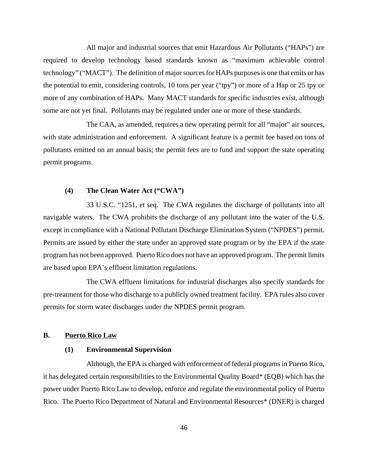All major and industrial sources that emit Hazardous Air Pollutants ("HAPs") are required to develop technology based standards known as "maximum achievable control technology" ("MACT"). The definition of major sources for HAPs purposes is one that emits or has the potential to emit, considering controls, 10 tons per year ("tpy") or more of a Hap or 25 tpy or more of any combination of HAPs. Many MACT standards for specific industries exist, although some are not yet final. Pollutants may be regulated under one or more of these standards.

The CAA, as amended, requires a new operating permit for all "major" air sources, with state administration and enforcement. A significant feature is a permit fee based on tons of pollutants emitted on an annual basis; the permit fees are to fund and support the state operating permit programs.

# **(4) The Clean Water Act ("CWA")**

33 U.S.C. "1251, et seq. The CWA regulates the discharge of pollutants into all navigable waters. The CWA prohibits the discharge of any pollutant into the water of the U.S. except in compliance with a National Pollutant Discharge Elimination System ("NPDES") permit. Permits are issued by either the state under an approved state program or by the EPA if the state program has not been approved. Puerto Rico does not have an approved program. The permit limits are based upon EPA's effluent limitation regulations.

The CWA effluent limitations for industrial discharges also specify standards for pre-treatment for those who discharge to a publicly owned treatment facility. EPA rules also cover permits for storm water discharges under the NPDES permit program.

# **B. Puerto Rico Law**

# **(1) Environmental Supervision**

Although, the EPA is charged with enforcement of federal programs in Puerto Rico, it has delegated certain responsibilities to the Environmental Quality Board\* (EQB) which has the power under Puerto Rico Law to develop, enforce and regulate the environmental policy of Puerto Rico. The Puerto Rico Department of Natural and Environmental Resources\* (DNER) is charged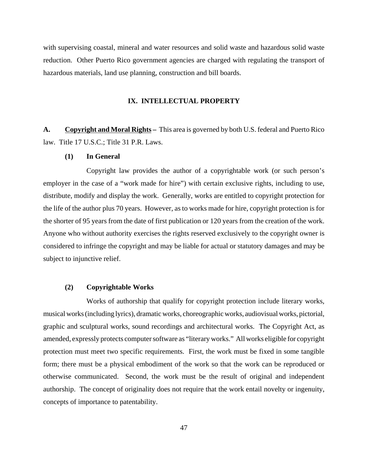with supervising coastal, mineral and water resources and solid waste and hazardous solid waste reduction. Other Puerto Rico government agencies are charged with regulating the transport of hazardous materials, land use planning, construction and bill boards.

# **IX. INTELLECTUAL PROPERTY**

**A. Copyright and Moral Rights –** This area is governed by both U.S. federal and Puerto Rico law. Title 17 U.S.C.; Title 31 P.R. Laws.

# **(1) In General**

Copyright law provides the author of a copyrightable work (or such person's employer in the case of a "work made for hire") with certain exclusive rights, including to use, distribute, modify and display the work. Generally, works are entitled to copyright protection for the life of the author plus 70 years. However, as to works made for hire, copyright protection is for the shorter of 95 years from the date of first publication or 120 years from the creation of the work. Anyone who without authority exercises the rights reserved exclusively to the copyright owner is considered to infringe the copyright and may be liable for actual or statutory damages and may be subject to injunctive relief.

# **(2) Copyrightable Works**

Works of authorship that qualify for copyright protection include literary works, musical works (including lyrics), dramatic works, choreographic works, audiovisual works, pictorial, graphic and sculptural works, sound recordings and architectural works. The Copyright Act, as amended, expressly protects computer software as "literary works." All works eligible for copyright protection must meet two specific requirements. First, the work must be fixed in some tangible form; there must be a physical embodiment of the work so that the work can be reproduced or otherwise communicated. Second, the work must be the result of original and independent authorship. The concept of originality does not require that the work entail novelty or ingenuity, concepts of importance to patentability.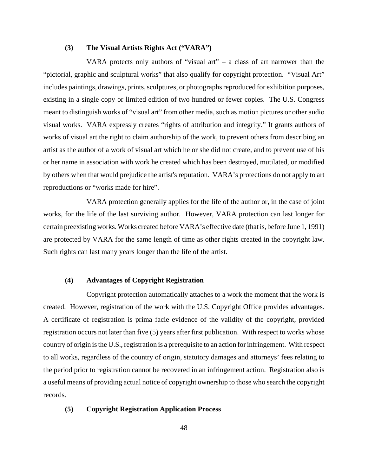# **(3) The Visual Artists Rights Act ("VARA")**

VARA protects only authors of "visual art"  $-$  a class of art narrower than the "pictorial, graphic and sculptural works" that also qualify for copyright protection. "Visual Art" includes paintings, drawings, prints, sculptures, or photographs reproduced for exhibition purposes, existing in a single copy or limited edition of two hundred or fewer copies. The U.S. Congress meant to distinguish works of "visual art" from other media, such as motion pictures or other audio visual works. VARA expressly creates "rights of attribution and integrity." It grants authors of works of visual art the right to claim authorship of the work, to prevent others from describing an artist as the author of a work of visual art which he or she did not create, and to prevent use of his or her name in association with work he created which has been destroyed, mutilated, or modified by others when that would prejudice the artist's reputation. VARA's protections do not apply to art reproductions or "works made for hire".

VARA protection generally applies for the life of the author or, in the case of joint works, for the life of the last surviving author. However, VARA protection can last longer for certain preexisting works. Works created before VARA's effective date (that is, before June 1, 1991) are protected by VARA for the same length of time as other rights created in the copyright law. Such rights can last many years longer than the life of the artist.

# **(4) Advantages of Copyright Registration**

Copyright protection automatically attaches to a work the moment that the work is created. However, registration of the work with the U.S. Copyright Office provides advantages. A certificate of registration is prima facie evidence of the validity of the copyright, provided registration occurs not later than five (5) years after first publication. With respect to works whose country of origin is the U.S., registration is a prerequisite to an action for infringement. With respect to all works, regardless of the country of origin, statutory damages and attorneys' fees relating to the period prior to registration cannot be recovered in an infringement action. Registration also is a useful means of providing actual notice of copyright ownership to those who search the copyright records.

# **(5) Copyright Registration Application Process**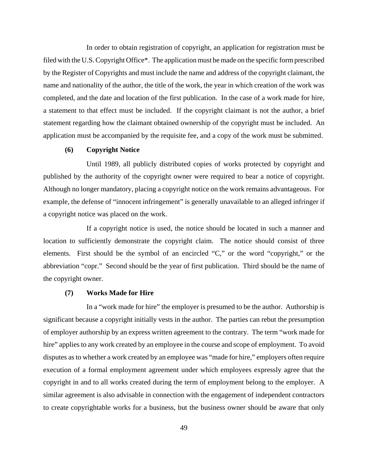In order to obtain registration of copyright, an application for registration must be filed with the U.S. Copyright Office\*. The application must be made on the specific form prescribed by the Register of Copyrights and must include the name and address of the copyright claimant, the name and nationality of the author, the title of the work, the year in which creation of the work was completed, and the date and location of the first publication. In the case of a work made for hire, a statement to that effect must be included. If the copyright claimant is not the author, a brief statement regarding how the claimant obtained ownership of the copyright must be included. An application must be accompanied by the requisite fee, and a copy of the work must be submitted.

# **(6) Copyright Notice**

Until 1989, all publicly distributed copies of works protected by copyright and published by the authority of the copyright owner were required to bear a notice of copyright. Although no longer mandatory, placing a copyright notice on the work remains advantageous. For example, the defense of "innocent infringement" is generally unavailable to an alleged infringer if a copyright notice was placed on the work.

If a copyright notice is used, the notice should be located in such a manner and location to sufficiently demonstrate the copyright claim. The notice should consist of three elements. First should be the symbol of an encircled "C," or the word "copyright," or the abbreviation "copr." Second should be the year of first publication. Third should be the name of the copyright owner.

#### **(7) Works Made for Hire**

In a "work made for hire" the employer is presumed to be the author. Authorship is significant because a copyright initially vests in the author. The parties can rebut the presumption of employer authorship by an express written agreement to the contrary. The term "work made for hire" applies to any work created by an employee in the course and scope of employment. To avoid disputes as to whether a work created by an employee was "made for hire," employers often require execution of a formal employment agreement under which employees expressly agree that the copyright in and to all works created during the term of employment belong to the employer. A similar agreement is also advisable in connection with the engagement of independent contractors to create copyrightable works for a business, but the business owner should be aware that only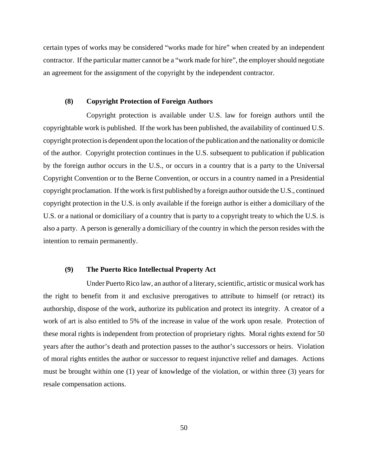certain types of works may be considered "works made for hire" when created by an independent contractor. If the particular matter cannot be a "work made for hire", the employer should negotiate an agreement for the assignment of the copyright by the independent contractor.

# **(8) Copyright Protection of Foreign Authors**

Copyright protection is available under U.S. law for foreign authors until the copyrightable work is published. If the work has been published, the availability of continued U.S. copyright protection is dependent upon the location of the publication and the nationality or domicile of the author. Copyright protection continues in the U.S. subsequent to publication if publication by the foreign author occurs in the U.S., or occurs in a country that is a party to the Universal Copyright Convention or to the Berne Convention, or occurs in a country named in a Presidential copyright proclamation. If the work is first published by a foreign author outside the U.S., continued copyright protection in the U.S. is only available if the foreign author is either a domiciliary of the U.S. or a national or domiciliary of a country that is party to a copyright treaty to which the U.S. is also a party. A person is generally a domiciliary of the country in which the person resides with the intention to remain permanently.

# **(9) The Puerto Rico Intellectual Property Act**

Under Puerto Rico law, an author of a literary, scientific, artistic or musical work has the right to benefit from it and exclusive prerogatives to attribute to himself (or retract) its authorship, dispose of the work, authorize its publication and protect its integrity. A creator of a work of art is also entitled to 5% of the increase in value of the work upon resale. Protection of these moral rights is independent from protection of proprietary rights. Moral rights extend for 50 years after the author's death and protection passes to the author's successors or heirs. Violation of moral rights entitles the author or successor to request injunctive relief and damages. Actions must be brought within one (1) year of knowledge of the violation, or within three (3) years for resale compensation actions.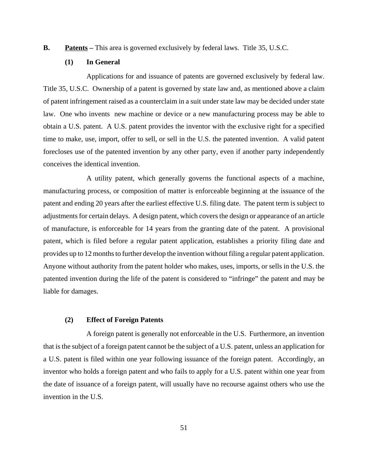**B.** Patents – This area is governed exclusively by federal laws. Title 35, U.S.C.

# **(1) In General**

Applications for and issuance of patents are governed exclusively by federal law. Title 35, U.S.C. Ownership of a patent is governed by state law and, as mentioned above a claim of patent infringement raised as a counterclaim in a suit under state law may be decided under state law. One who invents new machine or device or a new manufacturing process may be able to obtain a U.S. patent. A U.S. patent provides the inventor with the exclusive right for a specified time to make, use, import, offer to sell, or sell in the U.S. the patented invention. A valid patent forecloses use of the patented invention by any other party, even if another party independently conceives the identical invention.

A utility patent, which generally governs the functional aspects of a machine, manufacturing process, or composition of matter is enforceable beginning at the issuance of the patent and ending 20 years after the earliest effective U.S. filing date. The patent term is subject to adjustments for certain delays. A design patent, which covers the design or appearance of an article of manufacture, is enforceable for 14 years from the granting date of the patent. A provisional patent, which is filed before a regular patent application, establishes a priority filing date and provides up to 12 months to further develop the invention without filing a regular patent application. Anyone without authority from the patent holder who makes, uses, imports, or sells in the U.S. the patented invention during the life of the patent is considered to "infringe" the patent and may be liable for damages.

# **(2) Effect of Foreign Patents**

A foreign patent is generally not enforceable in the U.S. Furthermore, an invention that is the subject of a foreign patent cannot be the subject of a U.S. patent, unless an application for a U.S. patent is filed within one year following issuance of the foreign patent. Accordingly, an inventor who holds a foreign patent and who fails to apply for a U.S. patent within one year from the date of issuance of a foreign patent, will usually have no recourse against others who use the invention in the U.S.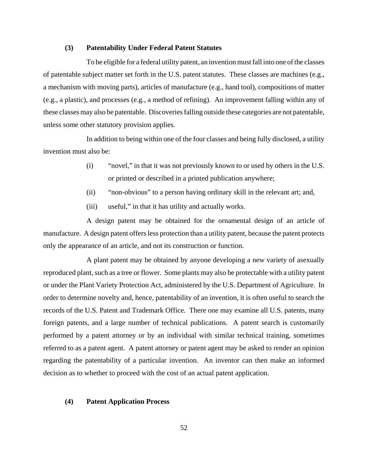# **(3) Patentability Under Federal Patent Statutes**

To be eligible for a federal utility patent, an invention must fall into one of the classes of patentable subject matter set forth in the U.S. patent statutes. These classes are machines (e.g., a mechanism with moving parts), articles of manufacture (e.g., hand tool), compositions of matter (e.g., a plastic), and processes (e.g., a method of refining). An improvement falling within any of these classes may also be patentable. Discoveries falling outside these categories are not patentable, unless some other statutory provision applies.

In addition to being within one of the four classes and being fully disclosed, a utility invention must also be:

- (i) "novel," in that it was not previously known to or used by others in the U.S. or printed or described in a printed publication anywhere;
- (ii) "non-obvious" to a person having ordinary skill in the relevant art; and,
- (iii) useful," in that it has utility and actually works.

A design patent may be obtained for the ornamental design of an article of manufacture. A design patent offers less protection than a utility patent, because the patent protects only the appearance of an article, and not its construction or function.

A plant patent may be obtained by anyone developing a new variety of asexually reproduced plant, such as a tree or flower. Some plants may also be protectable with a utility patent or under the Plant Variety Protection Act, administered by the U.S. Department of Agriculture. In order to determine novelty and, hence, patentability of an invention, it is often useful to search the records of the U.S. Patent and Trademark Office. There one may examine all U.S. patents, many foreign patents, and a large number of technical publications. A patent search is customarily performed by a patent attorney or by an individual with similar technical training, sometimes referred to as a patent agent. A patent attorney or patent agent may be asked to render an opinion regarding the patentability of a particular invention. An inventor can then make an informed decision as to whether to proceed with the cost of an actual patent application.

# **(4) Patent Application Process**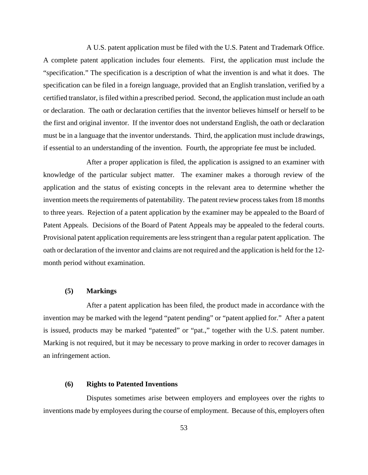A U.S. patent application must be filed with the U.S. Patent and Trademark Office. A complete patent application includes four elements. First, the application must include the "specification." The specification is a description of what the invention is and what it does. The specification can be filed in a foreign language, provided that an English translation, verified by a certified translator, is filed within a prescribed period. Second, the application must include an oath or declaration. The oath or declaration certifies that the inventor believes himself or herself to be the first and original inventor. If the inventor does not understand English, the oath or declaration must be in a language that the inventor understands. Third, the application must include drawings, if essential to an understanding of the invention. Fourth, the appropriate fee must be included.

After a proper application is filed, the application is assigned to an examiner with knowledge of the particular subject matter. The examiner makes a thorough review of the application and the status of existing concepts in the relevant area to determine whether the invention meets the requirements of patentability. The patent review process takes from 18 months to three years. Rejection of a patent application by the examiner may be appealed to the Board of Patent Appeals. Decisions of the Board of Patent Appeals may be appealed to the federal courts. Provisional patent application requirements are less stringent than a regular patent application. The oath or declaration of the inventor and claims are not required and the application is held for the 12 month period without examination.

# **(5) Markings**

After a patent application has been filed, the product made in accordance with the invention may be marked with the legend "patent pending" or "patent applied for." After a patent is issued, products may be marked "patented" or "pat.," together with the U.S. patent number. Marking is not required, but it may be necessary to prove marking in order to recover damages in an infringement action.

# **(6) Rights to Patented Inventions**

Disputes sometimes arise between employers and employees over the rights to inventions made by employees during the course of employment. Because of this, employers often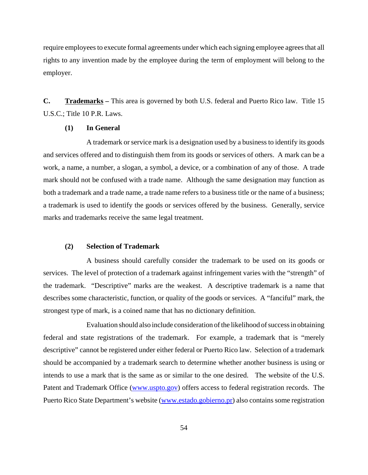require employees to execute formal agreements under which each signing employee agrees that all rights to any invention made by the employee during the term of employment will belong to the employer.

**C. Trademarks –** This area is governed by both U.S. federal and Puerto Rico law. Title 15 U.S.C.; Title 10 P.R. Laws.

# **(1) In General**

A trademark or service mark is a designation used by a business to identify its goods and services offered and to distinguish them from its goods or services of others. A mark can be a work, a name, a number, a slogan, a symbol, a device, or a combination of any of those. A trade mark should not be confused with a trade name. Although the same designation may function as both a trademark and a trade name, a trade name refers to a business title or the name of a business; a trademark is used to identify the goods or services offered by the business. Generally, service marks and trademarks receive the same legal treatment.

## **(2) Selection of Trademark**

A business should carefully consider the trademark to be used on its goods or services. The level of protection of a trademark against infringement varies with the "strength" of the trademark. "Descriptive" marks are the weakest. A descriptive trademark is a name that describes some characteristic, function, or quality of the goods or services. A "fanciful" mark, the strongest type of mark, is a coined name that has no dictionary definition.

Evaluation should also include consideration of the likelihood of success in obtaining federal and state registrations of the trademark. For example, a trademark that is "merely descriptive" cannot be registered under either federal or Puerto Rico law. Selection of a trademark should be accompanied by a trademark search to determine whether another business is using or intends to use a mark that is the same as or similar to the one desired. The website of the U.S. Patent and Trademark Office (www.uspto.gov) offers access to federal registration records. The Puerto Rico State Department's website (www.estado.gobierno.pr) also contains some registration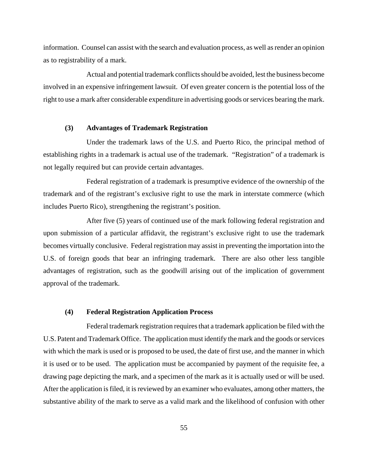information. Counsel can assist with the search and evaluation process, as well as render an opinion as to registrability of a mark.

Actual and potential trademark conflicts should be avoided, lest the business become involved in an expensive infringement lawsuit. Of even greater concern is the potential loss of the right to use a mark after considerable expenditure in advertising goods or services bearing the mark.

# **(3) Advantages of Trademark Registration**

Under the trademark laws of the U.S. and Puerto Rico, the principal method of establishing rights in a trademark is actual use of the trademark. "Registration" of a trademark is not legally required but can provide certain advantages.

Federal registration of a trademark is presumptive evidence of the ownership of the trademark and of the registrant's exclusive right to use the mark in interstate commerce (which includes Puerto Rico), strengthening the registrant's position.

After five (5) years of continued use of the mark following federal registration and upon submission of a particular affidavit, the registrant's exclusive right to use the trademark becomes virtually conclusive. Federal registration may assist in preventing the importation into the U.S. of foreign goods that bear an infringing trademark. There are also other less tangible advantages of registration, such as the goodwill arising out of the implication of government approval of the trademark.

#### **(4) Federal Registration Application Process**

Federal trademark registration requires that a trademark application be filed with the U.S. Patent and Trademark Office. The application must identify the mark and the goods or services with which the mark is used or is proposed to be used, the date of first use, and the manner in which it is used or to be used. The application must be accompanied by payment of the requisite fee, a drawing page depicting the mark, and a specimen of the mark as it is actually used or will be used. After the application is filed, it is reviewed by an examiner who evaluates, among other matters, the substantive ability of the mark to serve as a valid mark and the likelihood of confusion with other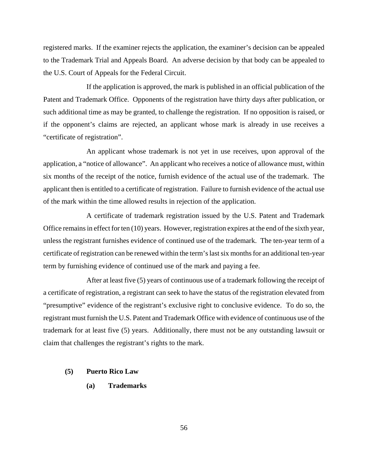registered marks. If the examiner rejects the application, the examiner's decision can be appealed to the Trademark Trial and Appeals Board. An adverse decision by that body can be appealed to the U.S. Court of Appeals for the Federal Circuit.

If the application is approved, the mark is published in an official publication of the Patent and Trademark Office. Opponents of the registration have thirty days after publication, or such additional time as may be granted, to challenge the registration. If no opposition is raised, or if the opponent's claims are rejected, an applicant whose mark is already in use receives a "certificate of registration".

An applicant whose trademark is not yet in use receives, upon approval of the application, a "notice of allowance". An applicant who receives a notice of allowance must, within six months of the receipt of the notice, furnish evidence of the actual use of the trademark. The applicant then is entitled to a certificate of registration. Failure to furnish evidence of the actual use of the mark within the time allowed results in rejection of the application.

A certificate of trademark registration issued by the U.S. Patent and Trademark Office remains in effect for ten (10) years. However, registration expires at the end of the sixth year, unless the registrant furnishes evidence of continued use of the trademark. The ten-year term of a certificate of registration can be renewed within the term's last six months for an additional ten-year term by furnishing evidence of continued use of the mark and paying a fee.

After at least five (5) years of continuous use of a trademark following the receipt of a certificate of registration, a registrant can seek to have the status of the registration elevated from "presumptive" evidence of the registrant's exclusive right to conclusive evidence. To do so, the registrant must furnish the U.S. Patent and Trademark Office with evidence of continuous use of the trademark for at least five (5) years. Additionally, there must not be any outstanding lawsuit or claim that challenges the registrant's rights to the mark.

# **(5) Puerto Rico Law**

**(a) Trademarks**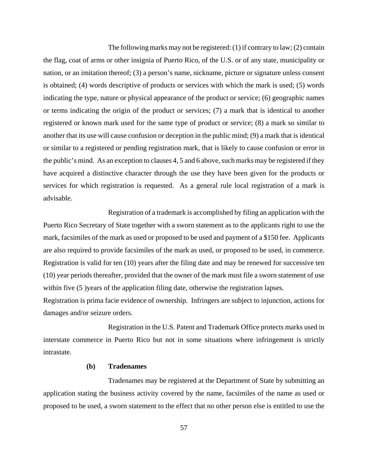The following marks may not be registered: (1) if contrary to law; (2) contain the flag, coat of arms or other insignia of Puerto Rico, of the U.S. or of any state, municipality or nation, or an imitation thereof; (3) a person's name, nickname, picture or signature unless consent is obtained; (4) words descriptive of products or services with which the mark is used; (5) words indicating the type, nature or physical appearance of the product or service; (6) geographic names or terms indicating the origin of the product or services; (7) a mark that is identical to another registered or known mark used for the same type of product or service; (8) a mark so similar to another that its use will cause confusion or deception in the public mind; (9) a mark that is identical or similar to a registered or pending registration mark, that is likely to cause confusion or error in the public's mind. As an exception to clauses 4, 5 and 6 above, such marks may be registered if they have acquired a distinctive character through the use they have been given for the products or services for which registration is requested. As a general rule local registration of a mark is advisable.

Registration of a trademark is accomplished by filing an application with the Puerto Rico Secretary of State together with a sworn statement as to the applicants right to use the mark, facsimiles of the mark as used or proposed to be used and payment of a \$150 fee. Applicants are also required to provide facsimiles of the mark as used, or proposed to be used, in commerce. Registration is valid for ten (10) years after the filing date and may be renewed for successive ten (10) year periods thereafter, provided that the owner of the mark must file a sworn statement of use within five (5) years of the application filing date, otherwise the registration lapses.

Registration is prima facie evidence of ownership. Infringers are subject to injunction, actions for damages and/or seizure orders.

Registration in the U.S. Patent and Trademark Office protects marks used in interstate commerce in Puerto Rico but not in some situations where infringement is strictly intrastate.

# **(b) Tradenames**

Tradenames may be registered at the Department of State by submitting an application stating the business activity covered by the name, facsimiles of the name as used or proposed to be used, a sworn statement to the effect that no other person else is entitled to use the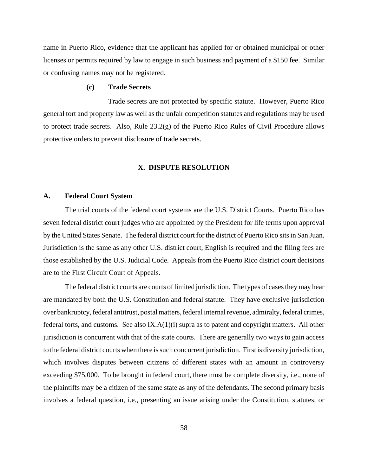name in Puerto Rico, evidence that the applicant has applied for or obtained municipal or other licenses or permits required by law to engage in such business and payment of a \$150 fee. Similar or confusing names may not be registered.

# **(c) Trade Secrets**

Trade secrets are not protected by specific statute. However, Puerto Rico general tort and property law as well as the unfair competition statutes and regulations may be used to protect trade secrets. Also, Rule 23.2(g) of the Puerto Rico Rules of Civil Procedure allows protective orders to prevent disclosure of trade secrets.

# **X. DISPUTE RESOLUTION**

#### **A. Federal Court System**

The trial courts of the federal court systems are the U.S. District Courts. Puerto Rico has seven federal district court judges who are appointed by the President for life terms upon approval by the United States Senate. The federal district court for the district of Puerto Rico sits in San Juan. Jurisdiction is the same as any other U.S. district court, English is required and the filing fees are those established by the U.S. Judicial Code. Appeals from the Puerto Rico district court decisions are to the First Circuit Court of Appeals.

The federal district courts are courts of limited jurisdiction. The types of cases they may hear are mandated by both the U.S. Constitution and federal statute. They have exclusive jurisdiction over bankruptcy, federal antitrust, postal matters, federal internal revenue, admiralty, federal crimes, federal torts, and customs. See also IX.A(1)(i) supra as to patent and copyright matters. All other jurisdiction is concurrent with that of the state courts. There are generally two ways to gain access to the federal district courts when there is such concurrent jurisdiction. First is diversity jurisdiction, which involves disputes between citizens of different states with an amount in controversy exceeding \$75,000. To be brought in federal court, there must be complete diversity, i.e., none of the plaintiffs may be a citizen of the same state as any of the defendants. The second primary basis involves a federal question, i.e., presenting an issue arising under the Constitution, statutes, or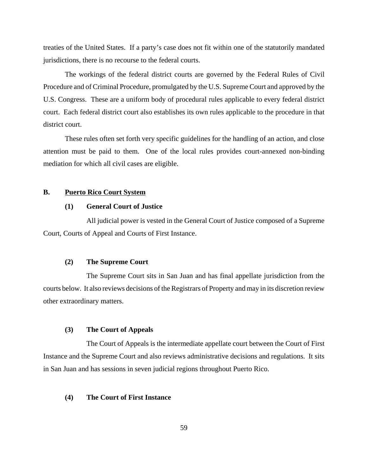treaties of the United States. If a party's case does not fit within one of the statutorily mandated jurisdictions, there is no recourse to the federal courts.

The workings of the federal district courts are governed by the Federal Rules of Civil Procedure and of Criminal Procedure, promulgated by the U.S. Supreme Court and approved by the U.S. Congress. These are a uniform body of procedural rules applicable to every federal district court. Each federal district court also establishes its own rules applicable to the procedure in that district court.

These rules often set forth very specific guidelines for the handling of an action, and close attention must be paid to them. One of the local rules provides court-annexed non-binding mediation for which all civil cases are eligible.

# **B. Puerto Rico Court System**

# **(1) General Court of Justice**

All judicial power is vested in the General Court of Justice composed of a Supreme Court, Courts of Appeal and Courts of First Instance.

## **(2) The Supreme Court**

The Supreme Court sits in San Juan and has final appellate jurisdiction from the courts below. It also reviews decisions of the Registrars of Property and may in its discretion review other extraordinary matters.

# **(3) The Court of Appeals**

The Court of Appeals is the intermediate appellate court between the Court of First Instance and the Supreme Court and also reviews administrative decisions and regulations. It sits in San Juan and has sessions in seven judicial regions throughout Puerto Rico.

# **(4) The Court of First Instance**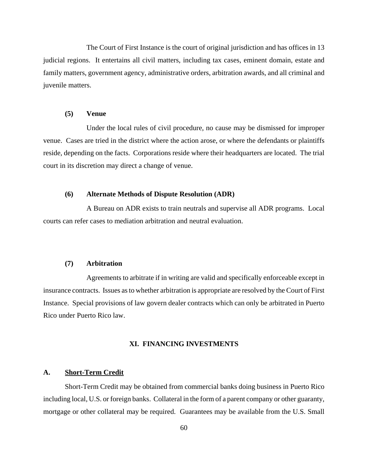The Court of First Instance is the court of original jurisdiction and has offices in 13 judicial regions. It entertains all civil matters, including tax cases, eminent domain, estate and family matters, government agency, administrative orders, arbitration awards, and all criminal and juvenile matters.

#### **(5) Venue**

Under the local rules of civil procedure, no cause may be dismissed for improper venue. Cases are tried in the district where the action arose, or where the defendants or plaintiffs reside, depending on the facts. Corporations reside where their headquarters are located. The trial court in its discretion may direct a change of venue.

# **(6) Alternate Methods of Dispute Resolution (ADR)**

A Bureau on ADR exists to train neutrals and supervise all ADR programs. Local courts can refer cases to mediation arbitration and neutral evaluation.

# **(7) Arbitration**

Agreements to arbitrate if in writing are valid and specifically enforceable except in insurance contracts. Issues as to whether arbitration is appropriate are resolved by the Court of First Instance. Special provisions of law govern dealer contracts which can only be arbitrated in Puerto Rico under Puerto Rico law.

# **XI. FINANCING INVESTMENTS**

# **A. Short-Term Credit**

Short-Term Credit may be obtained from commercial banks doing business in Puerto Rico including local, U.S. or foreign banks. Collateral in the form of a parent company or other guaranty, mortgage or other collateral may be required. Guarantees may be available from the U.S. Small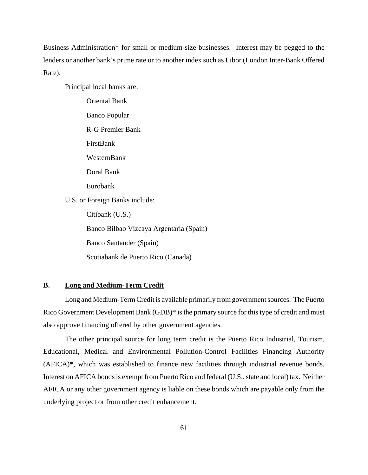Business Administration\* for small or medium-size businesses. Interest may be pegged to the lenders or another bank's prime rate or to another index such as Libor (London Inter-Bank Offered Rate).

Principal local banks are:

Oriental Bank Banco Popular R-G Premier Bank FirstBank WesternBank Doral Bank Eurobank U.S. or Foreign Banks include: Citibank (U.S.) Banco Bilbao Vizcaya Argentaria (Spain) Banco Santander (Spain) Scotiabank de Puerto Rico (Canada)

# **B. Long and Medium-Term Credit**

Long and Medium-Term Credit is available primarily from government sources. The Puerto Rico Government Development Bank (GDB)\* is the primary source for this type of credit and must also approve financing offered by other government agencies.

The other principal source for long term credit is the Puerto Rico Industrial, Tourism, Educational, Medical and Environmental Pollution-Control Facilities Financing Authority (AFICA)\*, which was established to finance new facilities through industrial revenue bonds. Interest on AFICA bonds is exempt from Puerto Rico and federal (U.S., state and local) tax. Neither AFICA or any other government agency is liable on these bonds which are payable only from the underlying project or from other credit enhancement.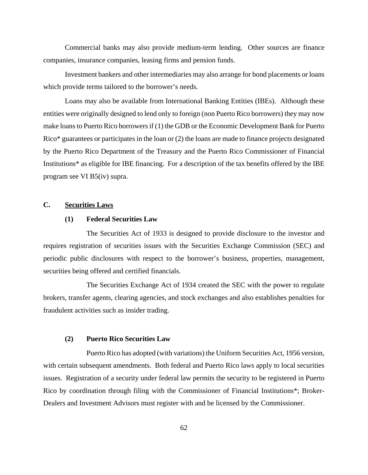Commercial banks may also provide medium-term lending. Other sources are finance companies, insurance companies, leasing firms and pension funds.

Investment bankers and other intermediaries may also arrange for bond placements or loans which provide terms tailored to the borrower's needs.

Loans may also be available from International Banking Entities (IBEs). Although these entities were originally designed to lend only to foreign (non Puerto Rico borrowers) they may now make loans to Puerto Rico borrowers if (1) the GDB or the Economic Development Bank for Puerto Rico\* guarantees or participates in the loan or (2) the loans are made to finance projects designated by the Puerto Rico Department of the Treasury and the Puerto Rico Commissioner of Financial Institutions\* as eligible for IBE financing. For a description of the tax benefits offered by the IBE program see VI B5(iv) supra.

# **C. Securities Laws**

# **(1) Federal Securities Law**

The Securities Act of 1933 is designed to provide disclosure to the investor and requires registration of securities issues with the Securities Exchange Commission (SEC) and periodic public disclosures with respect to the borrower's business, properties, management, securities being offered and certified financials.

The Securities Exchange Act of 1934 created the SEC with the power to regulate brokers, transfer agents, clearing agencies, and stock exchanges and also establishes penalties for fraudulent activities such as insider trading.

# **(2) Puerto Rico Securities Law**

Puerto Rico has adopted (with variations) the Uniform Securities Act, 1956 version, with certain subsequent amendments. Both federal and Puerto Rico laws apply to local securities issues. Registration of a security under federal law permits the security to be registered in Puerto Rico by coordination through filing with the Commissioner of Financial Institutions\*; Broker-Dealers and Investment Advisors must register with and be licensed by the Commissioner.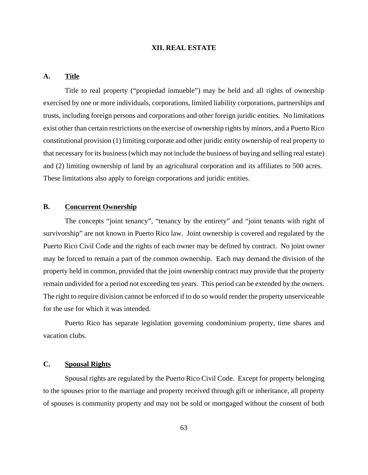# **XII. REAL ESTATE**

# **A. Title**

Title to real property ("propiedad inmueble") may be held and all rights of ownership exercised by one or more individuals, corporations, limited liability corporations, partnerships and trusts, including foreign persons and corporations and other foreign juridic entities. No limitations exist other than certain restrictions on the exercise of ownership rights by minors, and a Puerto Rico constitutional provision (1) limiting corporate and other juridic entity ownership of real property to that necessary for its business (which may not include the business of buying and selling real estate) and (2) limiting ownership of land by an agricultural corporation and its affiliates to 500 acres. These limitations also apply to foreign corporations and juridic entities.

# **B. Concurrent Ownership**

The concepts "joint tenancy", "tenancy by the entirety" and "joint tenants with right of survivorship" are not known in Puerto Rico law. Joint ownership is covered and regulated by the Puerto Rico Civil Code and the rights of each owner may be defined by contract. No joint owner may be forced to remain a part of the common ownership. Each may demand the division of the property held in common, provided that the joint ownership contract may provide that the property remain undivided for a period not exceeding ten years. This period can be extended by the owners. The right to require division cannot be enforced if to do so would render the property unserviceable for the use for which it was intended.

Puerto Rico has separate legislation governing condominium property, time shares and vacation clubs.

# **C. Spousal Rights**

Spousal rights are regulated by the Puerto Rico Civil Code. Except for property belonging to the spouses prior to the marriage and property received through gift or inheritance, all property of spouses is community property and may not be sold or mortgaged without the consent of both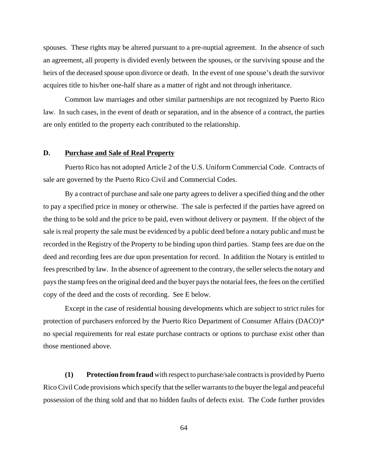spouses. These rights may be altered pursuant to a pre-nuptial agreement. In the absence of such an agreement, all property is divided evenly between the spouses, or the surviving spouse and the heirs of the deceased spouse upon divorce or death. In the event of one spouse's death the survivor acquires title to his/her one-half share as a matter of right and not through inheritance.

Common law marriages and other similar partnerships are not recognized by Puerto Rico law. In such cases, in the event of death or separation, and in the absence of a contract, the parties are only entitled to the property each contributed to the relationship.

# **D. Purchase and Sale of Real Property**

Puerto Rico has not adopted Article 2 of the U.S. Uniform Commercial Code. Contracts of sale are governed by the Puerto Rico Civil and Commercial Codes.

By a contract of purchase and sale one party agrees to deliver a specified thing and the other to pay a specified price in money or otherwise. The sale is perfected if the parties have agreed on the thing to be sold and the price to be paid, even without delivery or payment. If the object of the sale is real property the sale must be evidenced by a public deed before a notary public and must be recorded in the Registry of the Property to be binding upon third parties. Stamp fees are due on the deed and recording fees are due upon presentation for record. In addition the Notary is entitled to fees prescribed by law. In the absence of agreement to the contrary, the seller selects the notary and pays the stamp fees on the original deed and the buyer pays the notarial fees, the fees on the certified copy of the deed and the costs of recording. See E below.

Except in the case of residential housing developments which are subject to strict rules for protection of purchasers enforced by the Puerto Rico Department of Consumer Affairs (DACO)\* no special requirements for real estate purchase contracts or options to purchase exist other than those mentioned above.

**(1) Protection from fraud** with respect to purchase/sale contracts is provided by Puerto Rico Civil Code provisions which specify that the seller warrants to the buyer the legal and peaceful possession of the thing sold and that no hidden faults of defects exist. The Code further provides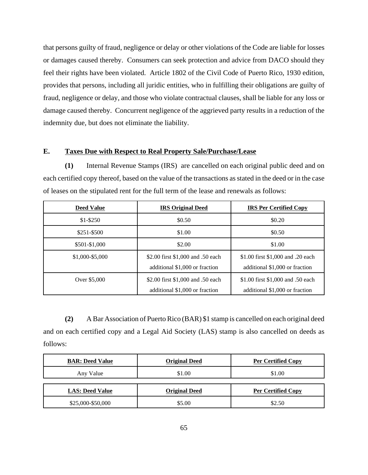that persons guilty of fraud, negligence or delay or other violations of the Code are liable for losses or damages caused thereby. Consumers can seek protection and advice from DACO should they feel their rights have been violated. Article 1802 of the Civil Code of Puerto Rico, 1930 edition, provides that persons, including all juridic entities, who in fulfilling their obligations are guilty of fraud, negligence or delay, and those who violate contractual clauses, shall be liable for any loss or damage caused thereby. Concurrent negligence of the aggrieved party results in a reduction of the indemnity due, but does not eliminate the liability.

## **E. Taxes Due with Respect to Real Property Sale/Purchase/Lease**

**(1)** Internal Revenue Stamps (IRS) are cancelled on each original public deed and on each certified copy thereof, based on the value of the transactions as stated in the deed or in the case of leases on the stipulated rent for the full term of the lease and renewals as follows:

| <b>Deed Value</b> | <b>IRS Original Deed</b>                                            | <b>IRS Per Certified Copy</b>                                       |
|-------------------|---------------------------------------------------------------------|---------------------------------------------------------------------|
| $$1 - $250$       | \$0.50                                                              | \$0.20                                                              |
| $$251 - $500$     | \$1.00                                                              | \$0.50                                                              |
| \$501-\$1,000     | \$2.00                                                              | \$1.00                                                              |
| \$1,000-\$5,000   | \$2.00 first \$1,000 and .50 each<br>additional \$1,000 or fraction | \$1.00 first \$1,000 and .20 each<br>additional \$1,000 or fraction |
| Over \$5,000      | \$2.00 first \$1,000 and .50 each<br>additional \$1,000 or fraction | \$1.00 first \$1,000 and .50 each<br>additional \$1,000 or fraction |

**(2)** A Bar Association of Puerto Rico (BAR) \$1 stamp is cancelled on each original deed and on each certified copy and a Legal Aid Society (LAS) stamp is also cancelled on deeds as follows:

| <b>BAR: Deed Value</b> | <b>Original Deed</b> | <b>Per Certified Copy</b> |
|------------------------|----------------------|---------------------------|
| Any Value              | \$1.00               | \$1.00                    |
| <b>LAS: Deed Value</b> |                      |                           |
|                        | <b>Original Deed</b> | <b>Per Certified Copy</b> |
|                        |                      |                           |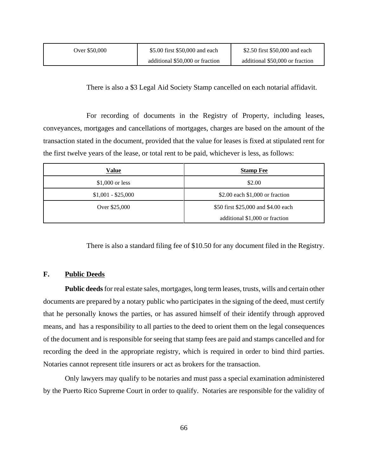| Over \$50.000 | \$5.00 first \$50,000 and each  | \$2.50 first \$50,000 and each  |  |
|---------------|---------------------------------|---------------------------------|--|
|               | additional \$50,000 or fraction | additional \$50,000 or fraction |  |

There is also a \$3 Legal Aid Society Stamp cancelled on each notarial affidavit.

For recording of documents in the Registry of Property, including leases, conveyances, mortgages and cancellations of mortgages, charges are based on the amount of the transaction stated in the document, provided that the value for leases is fixed at stipulated rent for the first twelve years of the lease, or total rent to be paid, whichever is less, as follows:

| <b>Value</b>       | <b>Stamp Fee</b>                    |
|--------------------|-------------------------------------|
| $$1,000$ or less   | \$2.00                              |
| $$1,001 - $25,000$ | \$2.00 each \$1,000 or fraction     |
| Over \$25,000      | \$50 first \$25,000 and \$4.00 each |
|                    | additional \$1,000 or fraction      |

There is also a standard filing fee of \$10.50 for any document filed in the Registry.

#### **F. Public Deeds**

**Public deeds** for real estate sales, mortgages, long term leases, trusts, wills and certain other documents are prepared by a notary public who participates in the signing of the deed, must certify that he personally knows the parties, or has assured himself of their identify through approved means, and has a responsibility to all parties to the deed to orient them on the legal consequences of the document and is responsible for seeing that stamp fees are paid and stamps cancelled and for recording the deed in the appropriate registry, which is required in order to bind third parties. Notaries cannot represent title insurers or act as brokers for the transaction.

Only lawyers may qualify to be notaries and must pass a special examination administered by the Puerto Rico Supreme Court in order to qualify. Notaries are responsible for the validity of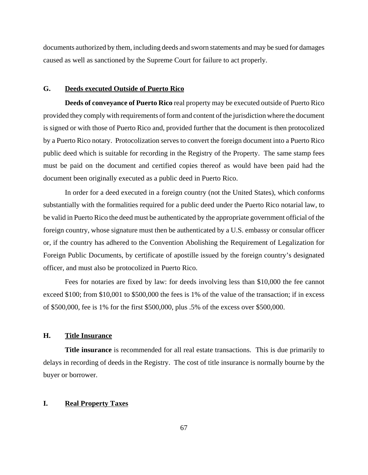documents authorized by them, including deeds and sworn statements and may be sued for damages caused as well as sanctioned by the Supreme Court for failure to act properly.

#### **G. Deeds executed Outside of Puerto Rico**

**Deeds of conveyance of Puerto Rico** real property may be executed outside of Puerto Rico provided they comply with requirements of form and content of the jurisdiction where the document is signed or with those of Puerto Rico and, provided further that the document is then protocolized by a Puerto Rico notary. Protocolization serves to convert the foreign document into a Puerto Rico public deed which is suitable for recording in the Registry of the Property. The same stamp fees must be paid on the document and certified copies thereof as would have been paid had the document been originally executed as a public deed in Puerto Rico.

In order for a deed executed in a foreign country (not the United States), which conforms substantially with the formalities required for a public deed under the Puerto Rico notarial law, to be valid in Puerto Rico the deed must be authenticated by the appropriate government official of the foreign country, whose signature must then be authenticated by a U.S. embassy or consular officer or, if the country has adhered to the Convention Abolishing the Requirement of Legalization for Foreign Public Documents, by certificate of apostille issued by the foreign country's designated officer, and must also be protocolized in Puerto Rico.

Fees for notaries are fixed by law: for deeds involving less than \$10,000 the fee cannot exceed \$100; from \$10,001 to \$500,000 the fees is 1% of the value of the transaction; if in excess of \$500,000, fee is 1% for the first \$500,000, plus .5% of the excess over \$500,000.

# **H. Title Insurance**

**Title insurance** is recommended for all real estate transactions. This is due primarily to delays in recording of deeds in the Registry. The cost of title insurance is normally bourne by the buyer or borrower.

#### **I. Real Property Taxes**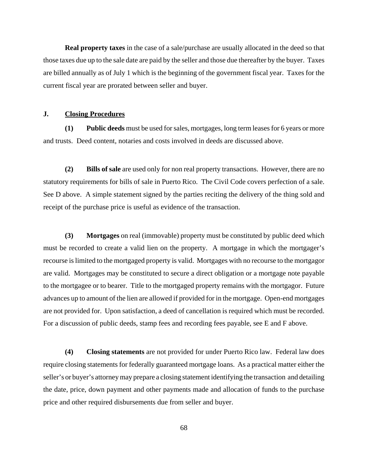**Real property taxes** in the case of a sale/purchase are usually allocated in the deed so that those taxes due up to the sale date are paid by the seller and those due thereafter by the buyer. Taxes are billed annually as of July 1 which is the beginning of the government fiscal year. Taxes for the current fiscal year are prorated between seller and buyer.

## **J. Closing Procedures**

**(1) Public deeds** must be used for sales, mortgages, long term leases for 6 years or more and trusts. Deed content, notaries and costs involved in deeds are discussed above.

**(2) Bills of sale** are used only for non real property transactions. However, there are no statutory requirements for bills of sale in Puerto Rico. The Civil Code covers perfection of a sale. See D above. A simple statement signed by the parties reciting the delivery of the thing sold and receipt of the purchase price is useful as evidence of the transaction.

**(3) Mortgages** on real (immovable) property must be constituted by public deed which must be recorded to create a valid lien on the property. A mortgage in which the mortgager's recourse is limited to the mortgaged property is valid. Mortgages with no recourse to the mortgagor are valid. Mortgages may be constituted to secure a direct obligation or a mortgage note payable to the mortgagee or to bearer. Title to the mortgaged property remains with the mortgagor. Future advances up to amount of the lien are allowed if provided for in the mortgage. Open-end mortgages are not provided for. Upon satisfaction, a deed of cancellation is required which must be recorded. For a discussion of public deeds, stamp fees and recording fees payable, see E and F above.

**(4) Closing statements** are not provided for under Puerto Rico law. Federal law does require closing statements for federally guaranteed mortgage loans. As a practical matter either the seller's or buyer's attorney may prepare a closing statement identifying the transaction and detailing the date, price, down payment and other payments made and allocation of funds to the purchase price and other required disbursements due from seller and buyer.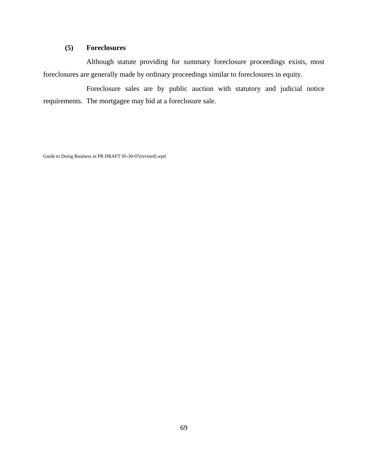# **(5) Foreclosures**

Although statute providing for summary foreclosure proceedings exists, most foreclosures are generally made by ordinary proceedings similar to foreclosures in equity.

Foreclosure sales are by public auction with statutory and judicial notice requirements. The mortgagee may bid at a foreclosure sale.

Guide to Doing Business in PR DRAFT 05-30-07(revised).wpd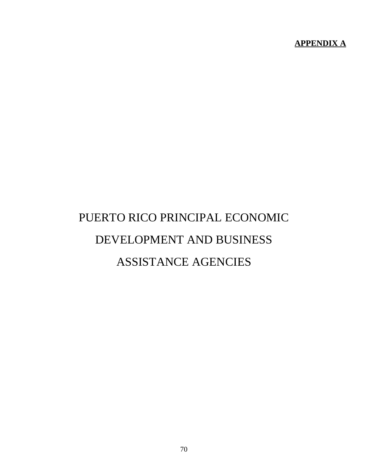**APPENDIX A**

# PUERTO RICO PRINCIPAL ECONOMIC DEVELOPMENT AND BUSINESS ASSISTANCE AGENCIES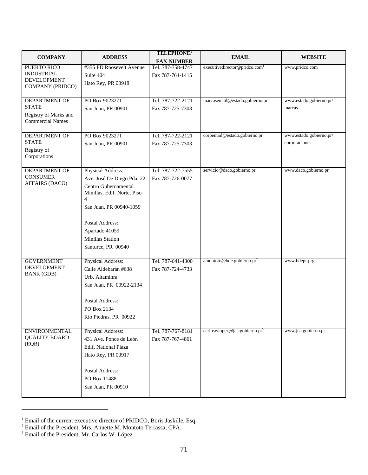| <b>COMPANY</b>                          | <b>ADDRESS</b>                                      | <b>TELEPHONE/</b> | <b>EMAIL</b>                              | <b>WEBSITE</b>          |
|-----------------------------------------|-----------------------------------------------------|-------------------|-------------------------------------------|-------------------------|
|                                         |                                                     | <b>FAX NUMBER</b> |                                           |                         |
| PUERTO RICO                             | #355 FD Roosevelt Avenue                            | Tel. 787-758-4747 | executivedirector@pridco.com <sup>1</sup> | www.pridco.com          |
| <b>INDUSTRIAL</b><br><b>DEVELOPMENT</b> | Suite 404                                           | Fax 787-764-1415  |                                           |                         |
| COMPANY (PRIDCO)                        | Hato Rey, PR 00918                                  |                   |                                           |                         |
|                                         |                                                     |                   |                                           |                         |
| <b>DEPARTMENT OF</b>                    | PO Box 9023271                                      | Tel. 787-722-2121 | marcasemail@estado.gobierno.pr            | www.estado.gobierno.pr/ |
| <b>STATE</b>                            | San Juan, PR 00901                                  | Fax 787-725-7303  |                                           | marcas                  |
| Registry of Marks and                   |                                                     |                   |                                           |                         |
| <b>Commercial Names</b>                 |                                                     |                   |                                           |                         |
| <b>DEPARTMENT OF</b>                    | PO Box 9023271                                      | Tel. 787-722-2121 | corpemail@estado.gobierno.pr              | www.estado.gobierno.pr/ |
| <b>STATE</b>                            | San Juan, PR 00901                                  | Fax 787-725-7303  |                                           | corporaciones           |
| Registry of                             |                                                     |                   |                                           |                         |
| Corporations                            |                                                     |                   |                                           |                         |
|                                         |                                                     |                   |                                           |                         |
| <b>DEPARTMENT OF</b><br><b>CONSUMER</b> | Physical Address:                                   | Tel. 787-722-7555 | servicio@daco.gobierno.pr                 | www.daco.gobierno.pr    |
| <b>AFFAIRS (DACO)</b>                   | Ave. José De Diego Pda. 22                          | Fax 787-726-0077  |                                           |                         |
|                                         | Centro Gubernamental<br>Minillas, Edif. Norte, Piso |                   |                                           |                         |
|                                         | $\overline{4}$                                      |                   |                                           |                         |
|                                         | San Juan, PR 00940-1059                             |                   |                                           |                         |
|                                         |                                                     |                   |                                           |                         |
|                                         | Postal Address:                                     |                   |                                           |                         |
|                                         | Apartado 41059                                      |                   |                                           |                         |
|                                         | Minillas Station                                    |                   |                                           |                         |
|                                         | Santurce, PR 00940                                  |                   |                                           |                         |
|                                         |                                                     |                   |                                           |                         |
| <b>GOVERNMENT</b>                       | Physical Address:                                   | Tel. 787-641-4300 | amontoto@bde.gobierno.pr <sup>2</sup>     | www.bdepr.prg           |
| <b>DEVELOPMENT</b><br><b>BANK</b> (GDB) | Calle Aldebarán #638                                | Fax 787-724-4733  |                                           |                         |
|                                         | Urb. Altaminra                                      |                   |                                           |                         |
|                                         | San Juan, PR 00922-2134                             |                   |                                           |                         |
|                                         |                                                     |                   |                                           |                         |
|                                         | <b>Postal Address:</b>                              |                   |                                           |                         |
|                                         | PO Box 2134                                         |                   |                                           |                         |
|                                         | Río Piedras, PR 00922                               |                   |                                           |                         |
| <b>ENVIRONMENTAL</b>                    | Physical Address:                                   | Tel. 787-767-8181 | carloswlopez@jca.gobierno.pr <sup>3</sup> | www.jca.gobierno.pr     |
| <b>QUALITY BOARD</b>                    | 431 Ave. Ponce de León                              | Fax 787-767-4861  |                                           |                         |
| (EQB)                                   | Edif. National Plaza                                |                   |                                           |                         |
|                                         | Hato Rey, PR 00917                                  |                   |                                           |                         |
|                                         |                                                     |                   |                                           |                         |
|                                         | Postal Address:                                     |                   |                                           |                         |
|                                         | PO Box 11488                                        |                   |                                           |                         |
|                                         | San Juan, PR 00910                                  |                   |                                           |                         |
|                                         |                                                     |                   |                                           |                         |

<sup>&</sup>lt;sup>1</sup> Email of the current executive director of PRIDCO, Boris Jaskille, Esq.<br><sup>2</sup> Email of the President, Mrs. Annette M. Montoto Terrassa, CPA.<br><sup>3</sup> Email of the President, Mr. Carlos W. López.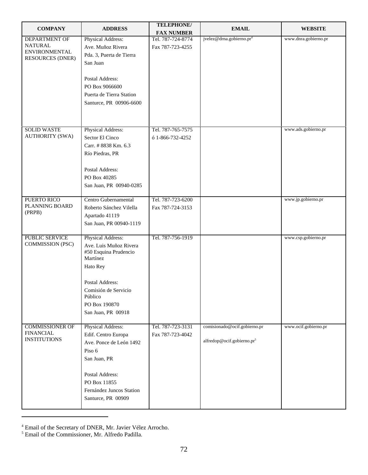| <b>COMPANY</b>           | <b>ADDRESS</b>           | <b>TELEPHONE/</b>                      | <b>EMAIL</b>                           | <b>WEBSITE</b>       |
|--------------------------|--------------------------|----------------------------------------|----------------------------------------|----------------------|
| <b>DEPARTMENT OF</b>     | Physical Address:        | <b>FAX NUMBER</b><br>Tel. 787-724-8774 | jvelez@drna.gobierno.pr <sup>4</sup>   | www.dnra.gobierno.pr |
| <b>NATURAL</b>           | Ave. Muñoz Rivera        | Fax 787-723-4255                       |                                        |                      |
| <b>ENVIRONMENTAL</b>     | Pda. 3, Puerta de Tierra |                                        |                                        |                      |
| <b>RESOURCES (DNER)</b>  | San Juan                 |                                        |                                        |                      |
|                          |                          |                                        |                                        |                      |
|                          | Postal Address:          |                                        |                                        |                      |
|                          | PO Box 9066600           |                                        |                                        |                      |
|                          | Puerta de Tierra Station |                                        |                                        |                      |
|                          | Santurce, PR 00906-6600  |                                        |                                        |                      |
|                          |                          |                                        |                                        |                      |
|                          |                          |                                        |                                        |                      |
| <b>SOLID WASTE</b>       | Physical Address:        | Tel. 787-765-7575                      |                                        | www.ads.gobierno.pr  |
| <b>AUTHORITY (SWA)</b>   | Sector El Cinco          | ó 1-866-732-4252                       |                                        |                      |
|                          | Carr. #8838 Km. 6.3      |                                        |                                        |                      |
|                          | Río Piedras, PR          |                                        |                                        |                      |
|                          |                          |                                        |                                        |                      |
|                          | Postal Address:          |                                        |                                        |                      |
|                          | PO Box 40285             |                                        |                                        |                      |
|                          | San Juan, PR 00940-0285  |                                        |                                        |                      |
|                          |                          |                                        |                                        |                      |
| PUERTO RICO              | Centro Gubernamental     | Tel. 787-723-6200                      |                                        | www.jp.gobierno.pr   |
| PLANNING BOARD<br>(PRPB) | Roberto Sánchez Vilella  | Fax 787-724-3153                       |                                        |                      |
|                          | Apartado 41119           |                                        |                                        |                      |
|                          | San Juan, PR 00940-1119  |                                        |                                        |                      |
| PUBLIC SERVICE           | Physical Address:        | Tel. 787-756-1919                      |                                        | www.csp.gobierno.pr  |
| COMMISSION (PSC)         | Ave. Luis Muñoz Rivera   |                                        |                                        |                      |
|                          | #50 Esquina Prudencio    |                                        |                                        |                      |
|                          | Martínez                 |                                        |                                        |                      |
|                          | Hato Rey                 |                                        |                                        |                      |
|                          | Postal Address:          |                                        |                                        |                      |
|                          | Comisión de Servicio     |                                        |                                        |                      |
|                          | Público                  |                                        |                                        |                      |
|                          | PO Box 190870            |                                        |                                        |                      |
|                          | San Juan, PR 00918       |                                        |                                        |                      |
| <b>COMMISSIONER OF</b>   | Physical Address:        | Tel. 787-723-3131                      | comisionado@ocif.gobierno.pr           | www.ocif.gobierno.pr |
| <b>FINANCIAL</b>         | Edif. Centro Europa      | Fax 787-723-4042                       |                                        |                      |
| <b>INSTITUTIONS</b>      | Ave. Ponce de León 1492  |                                        | alfredop@ocif.gobierno.pr <sup>5</sup> |                      |
|                          | Piso 6                   |                                        |                                        |                      |
|                          | San Juan, PR             |                                        |                                        |                      |
|                          |                          |                                        |                                        |                      |
|                          | Postal Address:          |                                        |                                        |                      |
|                          | PO Box 11855             |                                        |                                        |                      |
|                          | Fernández Juncos Station |                                        |                                        |                      |
|                          | Santurce, PR 00909       |                                        |                                        |                      |
|                          |                          |                                        |                                        |                      |

<sup>&</sup>lt;sup>4</sup> Email of the Secretary of DNER, Mr. Javier Vélez Arrocho.<br><sup>5</sup> Email of the Commissioner, Mr. Alfredo Padilla.